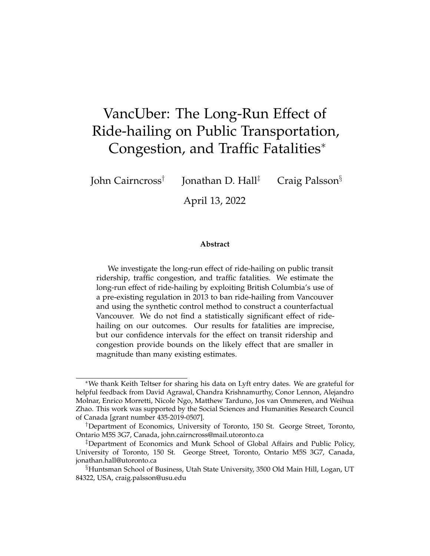# <span id="page-0-0"></span>VancUber: The Long-Run Effect of Ride-hailing on Public Transportation, Congestion, and Traffic Fatalities<sup>∗</sup>

John Cairncross†

Jonathan D. Hall<sup>‡</sup> Craig Palsson<sup>§</sup>

April 13, 2022

#### **Abstract**

We investigate the long-run effect of ride-hailing on public transit ridership, traffic congestion, and traffic fatalities. We estimate the long-run effect of ride-hailing by exploiting British Columbia's use of a pre-existing regulation in 2013 to ban ride-hailing from Vancouver and using the synthetic control method to construct a counterfactual Vancouver. We do not find a statistically significant effect of ridehailing on our outcomes. Our results for fatalities are imprecise, but our confidence intervals for the effect on transit ridership and congestion provide bounds on the likely effect that are smaller in magnitude than many existing estimates.

<sup>∗</sup>We thank Keith Teltser for sharing his data on Lyft entry dates. We are grateful for helpful feedback from David Agrawal, Chandra Krishnamurthy, Conor Lennon, Alejandro Molnar, Enrico Morretti, Nicole Ngo, Matthew Tarduno, Jos van Ommeren, and Weihua Zhao. This work was supported by the Social Sciences and Humanities Research Council of Canada [grant number 435-2019-0507].

<sup>†</sup>Department of Economics, University of Toronto, 150 St. George Street, Toronto, Ontario M5S 3G7, Canada, john.cairncross@mail.utoronto.ca

<sup>‡</sup>Department of Economics and Munk School of Global Affairs and Public Policy, University of Toronto, 150 St. George Street, Toronto, Ontario M5S 3G7, Canada, jonathan.hall@utoronto.ca

<sup>§</sup>Huntsman School of Business, Utah State University, 3500 Old Main Hill, Logan, UT 84322, USA, craig.palsson@usu.edu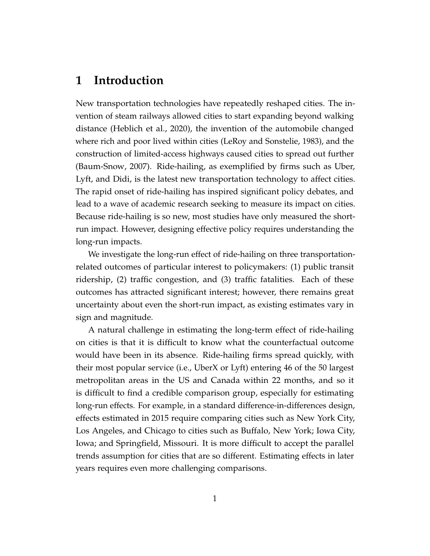## **1 Introduction**

New transportation technologies have repeatedly reshaped cities. The invention of steam railways allowed cities to start expanding beyond walking distance [\(Heblich et al., 2020\)](#page-24-0), the invention of the automobile changed where rich and poor lived within cities [\(LeRoy and Sonstelie, 1983\)](#page-24-1), and the construction of limited-access highways caused cities to spread out further [\(Baum-Snow, 2007\)](#page-22-0). Ride-hailing, as exemplified by firms such as Uber, Lyft, and Didi, is the latest new transportation technology to affect cities. The rapid onset of ride-hailing has inspired significant policy debates, and lead to a wave of academic research seeking to measure its impact on cities. Because ride-hailing is so new, most studies have only measured the shortrun impact. However, designing effective policy requires understanding the long-run impacts.

We investigate the long-run effect of ride-hailing on three transportationrelated outcomes of particular interest to policymakers: (1) public transit ridership, (2) traffic congestion, and (3) traffic fatalities. Each of these outcomes has attracted significant interest; however, there remains great uncertainty about even the short-run impact, as existing estimates vary in sign and magnitude.

A natural challenge in estimating the long-term effect of ride-hailing on cities is that it is difficult to know what the counterfactual outcome would have been in its absence. Ride-hailing firms spread quickly, with their most popular service (i.e., UberX or Lyft) entering 46 of the 50 largest metropolitan areas in the US and Canada within 22 months, and so it is difficult to find a credible comparison group, especially for estimating long-run effects. For example, in a standard difference-in-differences design, effects estimated in 2015 require comparing cities such as New York City, Los Angeles, and Chicago to cities such as Buffalo, New York; Iowa City, Iowa; and Springfield, Missouri. It is more difficult to accept the parallel trends assumption for cities that are so different. Estimating effects in later years requires even more challenging comparisons.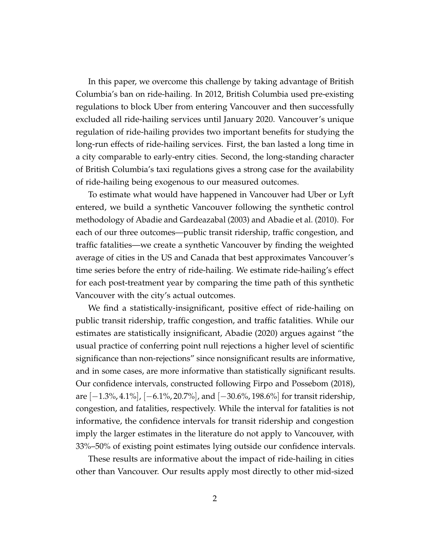In this paper, we overcome this challenge by taking advantage of British Columbia's ban on ride-hailing. In 2012, British Columbia used pre-existing regulations to block Uber from entering Vancouver and then successfully excluded all ride-hailing services until January 2020. Vancouver's unique regulation of ride-hailing provides two important benefits for studying the long-run effects of ride-hailing services. First, the ban lasted a long time in a city comparable to early-entry cities. Second, the long-standing character of British Columbia's taxi regulations gives a strong case for the availability of ride-hailing being exogenous to our measured outcomes.

To estimate what would have happened in Vancouver had Uber or Lyft entered, we build a synthetic Vancouver following the synthetic control methodology of [Abadie and Gardeazabal](#page-21-0) [\(2003\)](#page-21-0) and [Abadie et al.](#page-21-1) [\(2010\)](#page-21-1). For each of our three outcomes—public transit ridership, traffic congestion, and traffic fatalities—we create a synthetic Vancouver by finding the weighted average of cities in the US and Canada that best approximates Vancouver's time series before the entry of ride-hailing. We estimate ride-hailing's effect for each post-treatment year by comparing the time path of this synthetic Vancouver with the city's actual outcomes.

We find a statistically-insignificant, positive effect of ride-hailing on public transit ridership, traffic congestion, and traffic fatalities. While our estimates are statistically insignificant, [Abadie](#page-21-2) [\(2020\)](#page-21-2) argues against "the usual practice of conferring point null rejections a higher level of scientific significance than non-rejections" since nonsignificant results are informative, and in some cases, are more informative than statistically significant results. Our confidence intervals, constructed following [Firpo and Possebom](#page-23-0) [\(2018\)](#page-23-0), are  $[-1.3\%, 4.1\%]$ ,  $[-6.1\%, 20.7\%]$ , and  $[-30.6\%, 198.6\%]$  for transit ridership, congestion, and fatalities, respectively. While the interval for fatalities is not informative, the confidence intervals for transit ridership and congestion imply the larger estimates in the literature do not apply to Vancouver, with 33%–50% of existing point estimates lying outside our confidence intervals.

These results are informative about the impact of ride-hailing in cities other than Vancouver. Our results apply most directly to other mid-sized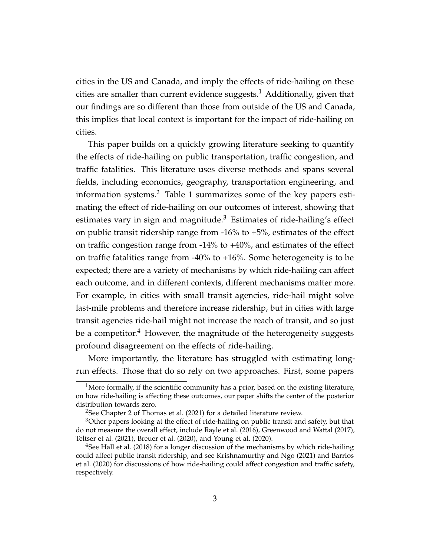cities in the US and Canada, and imply the effects of ride-hailing on these cities are smaller than current evidence suggests.<sup>[1](#page-0-0)</sup> Additionally, given that our findings are so different than those from outside of the US and Canada, this implies that local context is important for the impact of ride-hailing on cities.

This paper builds on a quickly growing literature seeking to quantify the effects of ride-hailing on public transportation, traffic congestion, and traffic fatalities. This literature uses diverse methods and spans several fields, including economics, geography, transportation engineering, and information systems.<sup>[2](#page-0-0)</sup> Table [1](#page-28-0) summarizes some of the key papers estimating the effect of ride-hailing on our outcomes of interest, showing that estimates vary in sign and magnitude.<sup>[3](#page-0-0)</sup> Estimates of ride-hailing's effect on public transit ridership range from  $-16\%$  to  $+5\%$ , estimates of the effect on traffic congestion range from -14% to +40%, and estimates of the effect on traffic fatalities range from -40% to +16%. Some heterogeneity is to be expected; there are a variety of mechanisms by which ride-hailing can affect each outcome, and in different contexts, different mechanisms matter more. For example, in cities with small transit agencies, ride-hail might solve last-mile problems and therefore increase ridership, but in cities with large transit agencies ride-hail might not increase the reach of transit, and so just be a competitor.<sup>[4](#page-0-0)</sup> However, the magnitude of the heterogeneity suggests profound disagreement on the effects of ride-hailing.

More importantly, the literature has struggled with estimating longrun effects. Those that do so rely on two approaches. First, some papers

<sup>&</sup>lt;sup>1</sup>More formally, if the scientific community has a prior, based on the existing literature, on how ride-hailing is affecting these outcomes, our paper shifts the center of the posterior distribution towards zero.

<sup>&</sup>lt;sup>2</sup>See Chapter 2 of [Thomas et al.](#page-25-0) [\(2021\)](#page-25-0) for a detailed literature review.

 $3$ Other papers looking at the effect of ride-hailing on public transit and safety, but that do not measure the overall effect, include [Rayle et al.](#page-24-2) [\(2016\)](#page-24-2), [Greenwood and Wattal](#page-23-1) [\(2017\)](#page-23-1), [Teltser et al.](#page-25-1) [\(2021\)](#page-25-1), [Breuer et al.](#page-22-1) [\(2020\)](#page-22-1), and [Young et al.](#page-25-2) [\(2020\)](#page-25-2).

 $4$ See [Hall et al.](#page-23-2) [\(2018\)](#page-23-2) for a longer discussion of the mechanisms by which ride-hailing could affect public transit ridership, and see [Krishnamurthy and Ngo](#page-24-3) [\(2021\)](#page-24-3) and [Barrios](#page-22-2) [et al.](#page-22-2) [\(2020\)](#page-22-2) for discussions of how ride-hailing could affect congestion and traffic safety, respectively.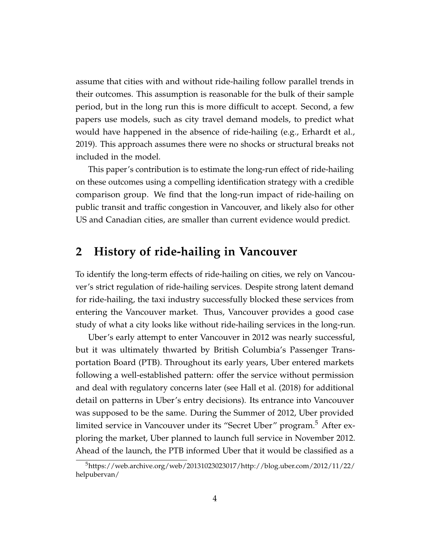assume that cities with and without ride-hailing follow parallel trends in their outcomes. This assumption is reasonable for the bulk of their sample period, but in the long run this is more difficult to accept. Second, a few papers use models, such as city travel demand models, to predict what would have happened in the absence of ride-hailing (e.g., [Erhardt et al.,](#page-23-3) [2019\)](#page-23-3). This approach assumes there were no shocks or structural breaks not included in the model.

This paper's contribution is to estimate the long-run effect of ride-hailing on these outcomes using a compelling identification strategy with a credible comparison group. We find that the long-run impact of ride-hailing on public transit and traffic congestion in Vancouver, and likely also for other US and Canadian cities, are smaller than current evidence would predict.

## <span id="page-4-0"></span>**2 History of ride-hailing in Vancouver**

To identify the long-term effects of ride-hailing on cities, we rely on Vancouver's strict regulation of ride-hailing services. Despite strong latent demand for ride-hailing, the taxi industry successfully blocked these services from entering the Vancouver market. Thus, Vancouver provides a good case study of what a city looks like without ride-hailing services in the long-run.

Uber's early attempt to enter Vancouver in 2012 was nearly successful, but it was ultimately thwarted by British Columbia's Passenger Transportation Board (PTB). Throughout its early years, Uber entered markets following a well-established pattern: offer the service without permission and deal with regulatory concerns later (see [Hall et al.](#page-23-2) [\(2018\)](#page-23-2) for additional detail on patterns in Uber's entry decisions). Its entrance into Vancouver was supposed to be the same. During the Summer of 2012, Uber provided limited service in Vancouver under its "Secret Uber" program.<sup>[5](#page-0-0)</sup> After exploring the market, Uber planned to launch full service in November 2012. Ahead of the launch, the PTB informed Uber that it would be classified as a

<sup>5</sup>[https://web.archive.org/web/20131023023017/http://blog.uber.com/2012/11/22/](https://web.archive.org/web/20131023023017/http://blog.uber.com/2012/11/22/helpubervan/) [helpubervan/](https://web.archive.org/web/20131023023017/http://blog.uber.com/2012/11/22/helpubervan/)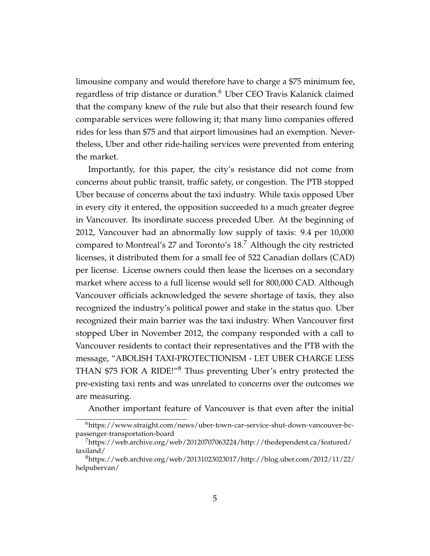limousine company and would therefore have to charge a \$75 minimum fee, regardless of trip distance or duration.<sup>[6](#page-0-0)</sup> Uber CEO Travis Kalanick claimed that the company knew of the rule but also that their research found few comparable services were following it; that many limo companies offered rides for less than \$75 and that airport limousines had an exemption. Nevertheless, Uber and other ride-hailing services were prevented from entering the market.

Importantly, for this paper, the city's resistance did not come from concerns about public transit, traffic safety, or congestion. The PTB stopped Uber because of concerns about the taxi industry. While taxis opposed Uber in every city it entered, the opposition succeeded to a much greater degree in Vancouver. Its inordinate success preceded Uber. At the beginning of 2012, Vancouver had an abnormally low supply of taxis: 9.4 per 10,000 compared to Montreal's 27 and Toronto's 18.[7](#page-0-0) Although the city restricted licenses, it distributed them for a small fee of 522 Canadian dollars (CAD) per license. License owners could then lease the licenses on a secondary market where access to a full license would sell for 800,000 CAD. Although Vancouver officials acknowledged the severe shortage of taxis, they also recognized the industry's political power and stake in the status quo. Uber recognized their main barrier was the taxi industry. When Vancouver first stopped Uber in November 2012, the company responded with a call to Vancouver residents to contact their representatives and the PTB with the message, "ABOLISH TAXI-PROTECTIONISM - LET UBER CHARGE LESS THAN \$75 FOR A RIDE!"[8](#page-0-0) Thus preventing Uber's entry protected the pre-existing taxi rents and was unrelated to concerns over the outcomes we are measuring.

Another important feature of Vancouver is that even after the initial

<sup>6</sup>[https://www.straight.com/news/uber-town-car-service-shut-down-vancouver-bc](https://www.straight.com/news/uber-town-car-service-shut-down-vancouver-bc-passenger-transportation-board)[passenger-transportation-board](https://www.straight.com/news/uber-town-car-service-shut-down-vancouver-bc-passenger-transportation-board)

<sup>7</sup>[https://web.archive.org/web/20120707063224/http://thedependent.ca/featured/](https://web.archive.org/web/20120707063224/http://thedependent.ca/featured/taxiland/) [taxiland/](https://web.archive.org/web/20120707063224/http://thedependent.ca/featured/taxiland/)

 $8$ [https://web.archive.org/web/20131023023017/http://blog.uber.com/2012/11/22/](https://web.archive.org/web/20131023023017/http://blog.uber.com/2012/11/22/helpubervan/) [helpubervan/](https://web.archive.org/web/20131023023017/http://blog.uber.com/2012/11/22/helpubervan/)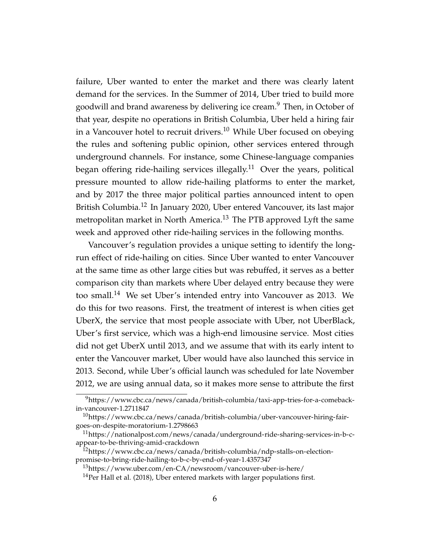failure, Uber wanted to enter the market and there was clearly latent demand for the services. In the Summer of 2014, Uber tried to build more goodwill and brand awareness by delivering ice cream.<sup>[9](#page-0-0)</sup> Then, in October of that year, despite no operations in British Columbia, Uber held a hiring fair in a Vancouver hotel to recruit drivers.<sup>[10](#page-0-0)</sup> While Uber focused on obeying the rules and softening public opinion, other services entered through underground channels. For instance, some Chinese-language companies began offering ride-hailing services illegally.<sup>[11](#page-0-0)</sup> Over the years, political pressure mounted to allow ride-hailing platforms to enter the market, and by 2017 the three major political parties announced intent to open British Columbia.<sup>[12](#page-0-0)</sup> In January 2020, Uber entered Vancouver, its last major metropolitan market in North America.<sup>[13](#page-0-0)</sup> The PTB approved Lyft the same week and approved other ride-hailing services in the following months.

Vancouver's regulation provides a unique setting to identify the longrun effect of ride-hailing on cities. Since Uber wanted to enter Vancouver at the same time as other large cities but was rebuffed, it serves as a better comparison city than markets where Uber delayed entry because they were too small.<sup>[14](#page-0-0)</sup> We set Uber's intended entry into Vancouver as 2013. We do this for two reasons. First, the treatment of interest is when cities get UberX, the service that most people associate with Uber, not UberBlack, Uber's first service, which was a high-end limousine service. Most cities did not get UberX until 2013, and we assume that with its early intent to enter the Vancouver market, Uber would have also launched this service in 2013. Second, while Uber's official launch was scheduled for late November 2012, we are using annual data, so it makes more sense to attribute the first

<sup>9</sup>[https://www.cbc.ca/news/canada/british-columbia/taxi-app-tries-for-a-comeback](https://www.cbc.ca/news/canada/british-columbia/taxi-app-tries-for-a-comeback-in-vancouver-1.2711847)[in-vancouver-1.2711847](https://www.cbc.ca/news/canada/british-columbia/taxi-app-tries-for-a-comeback-in-vancouver-1.2711847)

 $10$ [https://www.cbc.ca/news/canada/british-columbia/uber-vancouver-hiring-fair](https://www.cbc.ca/news/canada/british-columbia/uber-vancouver-hiring-fair-goes-on-despite-moratorium-1.2798663)[goes-on-despite-moratorium-1.2798663](https://www.cbc.ca/news/canada/british-columbia/uber-vancouver-hiring-fair-goes-on-despite-moratorium-1.2798663)

 $11$ [https://nationalpost.com/news/canada/underground-ride-sharing-services-in-b-c](https://nationalpost.com/news/canada/underground-ride-sharing-services-in-b-c-appear-to-be-thriving-amid-crackdown)[appear-to-be-thriving-amid-crackdown](https://nationalpost.com/news/canada/underground-ride-sharing-services-in-b-c-appear-to-be-thriving-amid-crackdown)

<sup>&</sup>lt;sup>12</sup>[https://www.cbc.ca/news/canada/british-columbia/ndp-stalls-on-election](https://www.cbc.ca/news/canada/british-columbia/ndp-stalls-on-election-promise-to-bring-ride-hailing-to-b-c-by-end-of-year-1.4357347)[promise-to-bring-ride-hailing-to-b-c-by-end-of-year-1.4357347](https://www.cbc.ca/news/canada/british-columbia/ndp-stalls-on-election-promise-to-bring-ride-hailing-to-b-c-by-end-of-year-1.4357347)

<sup>13</sup><https://www.uber.com/en-CA/newsroom/vancouver-uber-is-here/>

 $14$ Per [Hall et al.](#page-23-2) [\(2018\)](#page-23-2), Uber entered markets with larger populations first.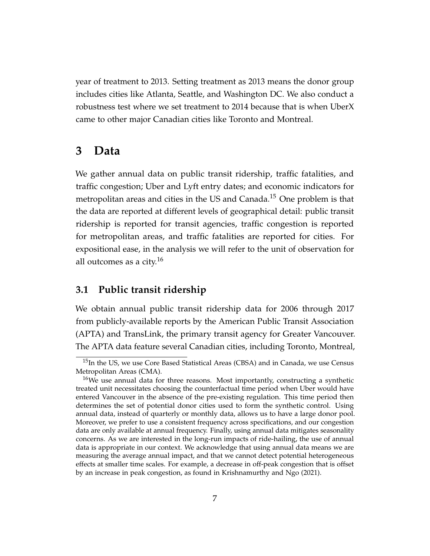year of treatment to 2013. Setting treatment as 2013 means the donor group includes cities like Atlanta, Seattle, and Washington DC. We also conduct a robustness test where we set treatment to 2014 because that is when UberX came to other major Canadian cities like Toronto and Montreal.

## **3 Data**

We gather annual data on public transit ridership, traffic fatalities, and traffic congestion; Uber and Lyft entry dates; and economic indicators for metropolitan areas and cities in the US and Canada.<sup>[15](#page-0-0)</sup> One problem is that the data are reported at different levels of geographical detail: public transit ridership is reported for transit agencies, traffic congestion is reported for metropolitan areas, and traffic fatalities are reported for cities. For expositional ease, in the analysis we will refer to the unit of observation for all outcomes as a city. $16$ 

#### **3.1 Public transit ridership**

We obtain annual public transit ridership data for 2006 through 2017 from publicly-available reports by the American Public Transit Association (APTA) and TransLink, the primary transit agency for Greater Vancouver. The APTA data feature several Canadian cities, including Toronto, Montreal,

<sup>&</sup>lt;sup>15</sup>In the US, we use Core Based Statistical Areas (CBSA) and in Canada, we use Census Metropolitan Areas (CMA).

<sup>&</sup>lt;sup>16</sup>We use annual data for three reasons. Most importantly, constructing a synthetic treated unit necessitates choosing the counterfactual time period when Uber would have entered Vancouver in the absence of the pre-existing regulation. This time period then determines the set of potential donor cities used to form the synthetic control. Using annual data, instead of quarterly or monthly data, allows us to have a large donor pool. Moreover, we prefer to use a consistent frequency across specifications, and our congestion data are only available at annual frequency. Finally, using annual data mitigates seasonality concerns. As we are interested in the long-run impacts of ride-hailing, the use of annual data is appropriate in our context. We acknowledge that using annual data means we are measuring the average annual impact, and that we cannot detect potential heterogeneous effects at smaller time scales. For example, a decrease in off-peak congestion that is offset by an increase in peak congestion, as found in [Krishnamurthy and Ngo](#page-24-3) [\(2021\)](#page-24-3).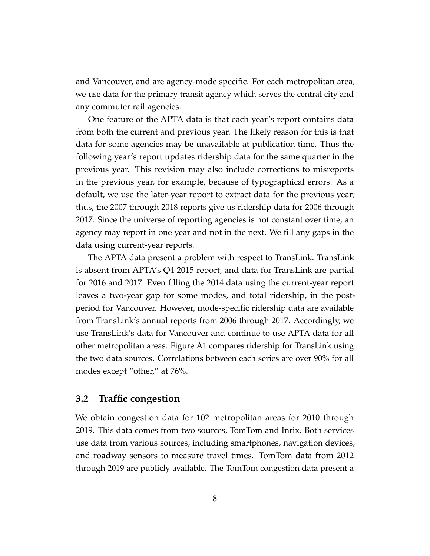and Vancouver, and are agency-mode specific. For each metropolitan area, we use data for the primary transit agency which serves the central city and any commuter rail agencies.

One feature of the APTA data is that each year's report contains data from both the current and previous year. The likely reason for this is that data for some agencies may be unavailable at publication time. Thus the following year's report updates ridership data for the same quarter in the previous year. This revision may also include corrections to misreports in the previous year, for example, because of typographical errors. As a default, we use the later-year report to extract data for the previous year; thus, the 2007 through 2018 reports give us ridership data for 2006 through 2017. Since the universe of reporting agencies is not constant over time, an agency may report in one year and not in the next. We fill any gaps in the data using current-year reports.

The APTA data present a problem with respect to TransLink. TransLink is absent from APTA's Q4 2015 report, and data for TransLink are partial for 2016 and 2017. Even filling the 2014 data using the current-year report leaves a two-year gap for some modes, and total ridership, in the postperiod for Vancouver. However, mode-specific ridership data are available from TransLink's annual reports from 2006 through 2017. Accordingly, we use TransLink's data for Vancouver and continue to use APTA data for all other metropolitan areas. Figure [A1](#page-31-0) compares ridership for TransLink using the two data sources. Correlations between each series are over 90% for all modes except "other," at 76%.

#### **3.2 Traffic congestion**

We obtain congestion data for 102 metropolitan areas for 2010 through 2019. This data comes from two sources, TomTom and Inrix. Both services use data from various sources, including smartphones, navigation devices, and roadway sensors to measure travel times. TomTom data from 2012 through 2019 are publicly available. The TomTom congestion data present a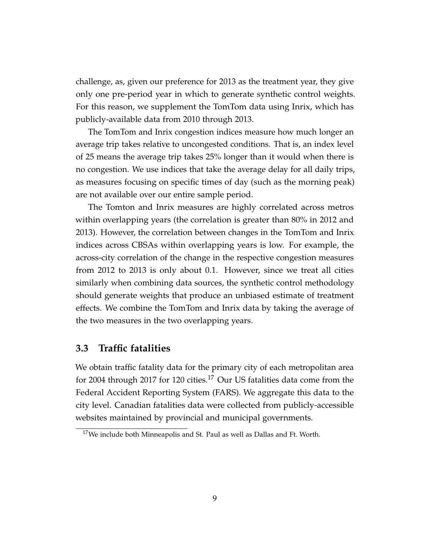challenge, as, given our preference for 2013 as the treatment year, they give only one pre-period year in which to generate synthetic control weights. For this reason, we supplement the TomTom data using Inrix, which has publicly-available data from 2010 through 2013.

The TomTom and Inrix congestion indices measure how much longer an average trip takes relative to uncongested conditions. That is, an index level of 25 means the average trip takes 25% longer than it would when there is no congestion. We use indices that take the average delay for all daily trips, as measures focusing on specific times of day (such as the morning peak) are not available over our entire sample period.

The Tomton and Inrix measures are highly correlated across metros within overlapping years (the correlation is greater than 80% in 2012 and 2013). However, the correlation between changes in the TomTom and Inrix indices across CBSAs within overlapping years is low. For example, the across-city correlation of the change in the respective congestion measures from 2012 to 2013 is only about 0.1. However, since we treat all cities similarly when combining data sources, the synthetic control methodology should generate weights that produce an unbiased estimate of treatment effects. We combine the TomTom and Inrix data by taking the average of the two measures in the two overlapping years.

#### **3.3 Traffic fatalities**

We obtain traffic fatality data for the primary city of each metropolitan area for 2004 through 20[17](#page-0-0) for 120 cities.<sup>17</sup> Our US fatalities data come from the Federal Accident Reporting System (FARS). We aggregate this data to the city level. Canadian fatalities data were collected from publicly-accessible websites maintained by provincial and municipal governments.

 $17$ We include both Minneapolis and St. Paul as well as Dallas and Ft. Worth.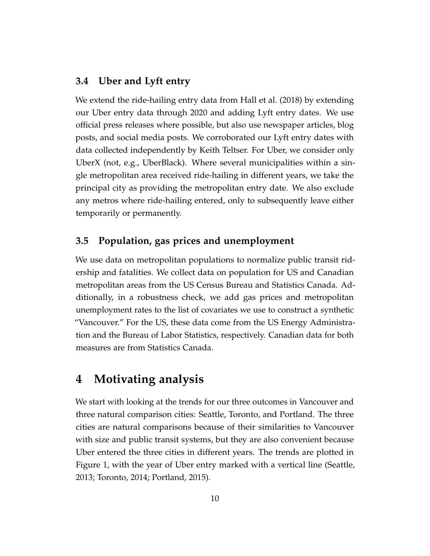#### **3.4 Uber and Lyft entry**

We extend the ride-hailing entry data from [Hall et al.](#page-23-2) [\(2018\)](#page-23-2) by extending our Uber entry data through 2020 and adding Lyft entry dates. We use official press releases where possible, but also use newspaper articles, blog posts, and social media posts. We corroborated our Lyft entry dates with data collected independently by Keith Teltser. For Uber, we consider only UberX (not, e.g., UberBlack). Where several municipalities within a single metropolitan area received ride-hailing in different years, we take the principal city as providing the metropolitan entry date. We also exclude any metros where ride-hailing entered, only to subsequently leave either temporarily or permanently.

#### **3.5 Population, gas prices and unemployment**

We use data on metropolitan populations to normalize public transit ridership and fatalities. We collect data on population for US and Canadian metropolitan areas from the US Census Bureau and Statistics Canada. Additionally, in a robustness check, we add gas prices and metropolitan unemployment rates to the list of covariates we use to construct a synthetic "Vancouver." For the US, these data come from the US Energy Administration and the Bureau of Labor Statistics, respectively. Canadian data for both measures are from Statistics Canada.

## **4 Motivating analysis**

We start with looking at the trends for our three outcomes in Vancouver and three natural comparison cities: Seattle, Toronto, and Portland. The three cities are natural comparisons because of their similarities to Vancouver with size and public transit systems, but they are also convenient because Uber entered the three cities in different years. The trends are plotted in Figure [1,](#page-26-0) with the year of Uber entry marked with a vertical line (Seattle, 2013; Toronto, 2014; Portland, 2015).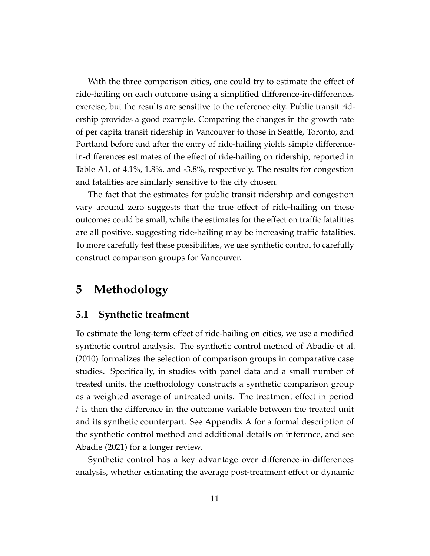With the three comparison cities, one could try to estimate the effect of ride-hailing on each outcome using a simplified difference-in-differences exercise, but the results are sensitive to the reference city. Public transit ridership provides a good example. Comparing the changes in the growth rate of per capita transit ridership in Vancouver to those in Seattle, Toronto, and Portland before and after the entry of ride-hailing yields simple differencein-differences estimates of the effect of ride-hailing on ridership, reported in Table [A1,](#page-36-0) of 4.1%, 1.8%, and -3.8%, respectively. The results for congestion and fatalities are similarly sensitive to the city chosen.

The fact that the estimates for public transit ridership and congestion vary around zero suggests that the true effect of ride-hailing on these outcomes could be small, while the estimates for the effect on traffic fatalities are all positive, suggesting ride-hailing may be increasing traffic fatalities. To more carefully test these possibilities, we use synthetic control to carefully construct comparison groups for Vancouver.

## **5 Methodology**

#### **5.1 Synthetic treatment**

To estimate the long-term effect of ride-hailing on cities, we use a modified synthetic control analysis. The synthetic control method of [Abadie et al.](#page-21-1) [\(2010\)](#page-21-1) formalizes the selection of comparison groups in comparative case studies. Specifically, in studies with panel data and a small number of treated units, the methodology constructs a synthetic comparison group as a weighted average of untreated units. The treatment effect in period *t* is then the difference in the outcome variable between the treated unit and its synthetic counterpart. See Appendix A for a formal description of the synthetic control method and additional details on inference, and see [Abadie](#page-21-3) [\(2021\)](#page-21-3) for a longer review.

Synthetic control has a key advantage over difference-in-differences analysis, whether estimating the average post-treatment effect or dynamic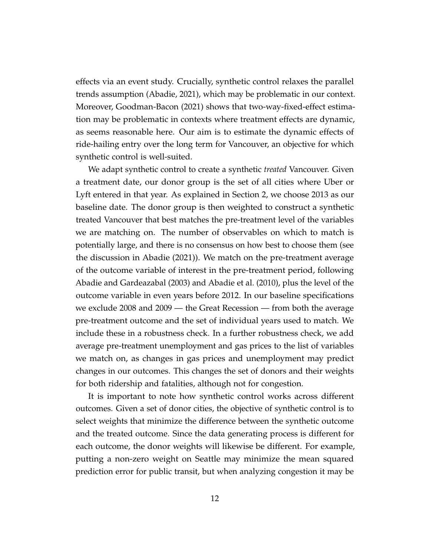effects via an event study. Crucially, synthetic control relaxes the parallel trends assumption [\(Abadie, 2021\)](#page-21-3), which may be problematic in our context. Moreover, [Goodman-Bacon](#page-23-4) [\(2021\)](#page-23-4) shows that two-way-fixed-effect estimation may be problematic in contexts where treatment effects are dynamic, as seems reasonable here. Our aim is to estimate the dynamic effects of ride-hailing entry over the long term for Vancouver, an objective for which synthetic control is well-suited.

We adapt synthetic control to create a synthetic *treated* Vancouver. Given a treatment date, our donor group is the set of all cities where Uber or Lyft entered in that year. As explained in Section [2,](#page-4-0) we choose 2013 as our baseline date. The donor group is then weighted to construct a synthetic treated Vancouver that best matches the pre-treatment level of the variables we are matching on. The number of observables on which to match is potentially large, and there is no consensus on how best to choose them (see the discussion in [Abadie](#page-21-3) [\(2021\)](#page-21-3)). We match on the pre-treatment average of the outcome variable of interest in the pre-treatment period, following [Abadie and Gardeazabal](#page-21-0) [\(2003\)](#page-21-0) and [Abadie et al.](#page-21-1) [\(2010\)](#page-21-1), plus the level of the outcome variable in even years before 2012. In our baseline specifications we exclude 2008 and 2009 — the Great Recession — from both the average pre-treatment outcome and the set of individual years used to match. We include these in a robustness check. In a further robustness check, we add average pre-treatment unemployment and gas prices to the list of variables we match on, as changes in gas prices and unemployment may predict changes in our outcomes. This changes the set of donors and their weights for both ridership and fatalities, although not for congestion.

It is important to note how synthetic control works across different outcomes. Given a set of donor cities, the objective of synthetic control is to select weights that minimize the difference between the synthetic outcome and the treated outcome. Since the data generating process is different for each outcome, the donor weights will likewise be different. For example, putting a non-zero weight on Seattle may minimize the mean squared prediction error for public transit, but when analyzing congestion it may be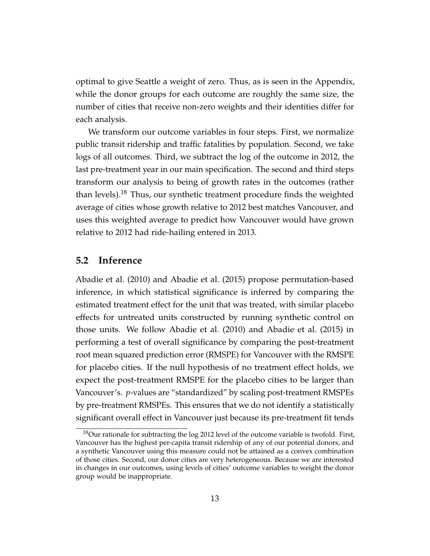<span id="page-13-1"></span>optimal to give Seattle a weight of zero. Thus, as is seen in the Appendix, while the donor groups for each outcome are roughly the same size, the number of cities that receive non-zero weights and their identities differ for each analysis.

We transform our outcome variables in four steps. First, we normalize public transit ridership and traffic fatalities by population. Second, we take logs of all outcomes. Third, we subtract the log of the outcome in 2012, the last pre-treatment year in our main specification. The second and third steps transform our analysis to being of growth rates in the outcomes (rather than levels).<sup>[18](#page-0-0)</sup> Thus, our synthetic treatment procedure finds the weighted average of cities whose growth relative to 2012 best matches Vancouver, and uses this weighted average to predict how Vancouver would have grown relative to 2012 had ride-hailing entered in 2013.

#### <span id="page-13-0"></span>**5.2 Inference**

[Abadie et al.](#page-21-1) [\(2010\)](#page-21-1) and [Abadie et al.](#page-21-4) [\(2015\)](#page-21-4) propose permutation-based inference, in which statistical significance is inferred by comparing the estimated treatment effect for the unit that was treated, with similar placebo effects for untreated units constructed by running synthetic control on those units. We follow [Abadie et al.](#page-21-1) [\(2010\)](#page-21-1) and [Abadie et al.](#page-21-4) [\(2015\)](#page-21-4) in performing a test of overall significance by comparing the post-treatment root mean squared prediction error (RMSPE) for Vancouver with the RMSPE for placebo cities. If the null hypothesis of no treatment effect holds, we expect the post-treatment RMSPE for the placebo cities to be larger than Vancouver's. *p*-values are "standardized" by scaling post-treatment RMSPEs by pre-treatment RMSPEs. This ensures that we do not identify a statistically significant overall effect in Vancouver just because its pre-treatment fit tends

 $18$ Our rationale for subtracting the log 2012 level of the outcome variable is twofold. First, Vancouver has the highest per-capita transit ridership of any of our potential donors, and a synthetic Vancouver using this measure could not be attained as a convex combination of those cities. Second, our donor cities are very heterogeneous. Because we are interested in changes in our outcomes, using levels of cities' outcome variables to weight the donor group would be inappropriate.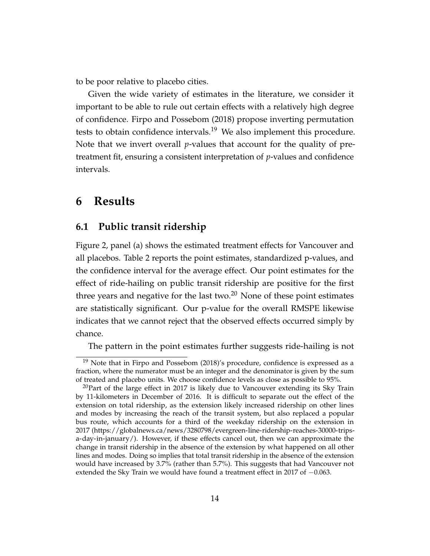to be poor relative to placebo cities.

Given the wide variety of estimates in the literature, we consider it important to be able to rule out certain effects with a relatively high degree of confidence. [Firpo and Possebom](#page-23-0) [\(2018\)](#page-23-0) propose inverting permutation tests to obtain confidence intervals.<sup>[19](#page-0-0)</sup> We also implement this procedure. Note that we invert overall *p*-values that account for the quality of pretreatment fit, ensuring a consistent interpretation of *p*-values and confidence intervals.

### **6 Results**

#### **6.1 Public transit ridership**

Figure [2,](#page-27-0) panel (a) shows the estimated treatment effects for Vancouver and all placebos. Table [2](#page-29-0) reports the point estimates, standardized p-values, and the confidence interval for the average effect. Our point estimates for the effect of ride-hailing on public transit ridership are positive for the first three years and negative for the last two. $20$  None of these point estimates are statistically significant. Our p-value for the overall RMSPE likewise indicates that we cannot reject that the observed effects occurred simply by chance.

The pattern in the point estimates further suggests ride-hailing is not

<sup>&</sup>lt;sup>19</sup> Note that in [Firpo and Possebom](#page-23-0) [\(2018\)](#page-23-0)'s procedure, confidence is expressed as a fraction, where the numerator must be an integer and the denominator is given by the sum of treated and placebo units. We choose confidence levels as close as possible to 95%.

 $^{20}$ Part of the large effect in 2017 is likely due to Vancouver extending its Sky Train by 11-kilometers in December of 2016. It is difficult to separate out the effect of the extension on total ridership, as the extension likely increased ridership on other lines and modes by increasing the reach of the transit system, but also replaced a popular bus route, which accounts for a third of the weekday ridership on the extension in 2017 [\(https://globalnews.ca/news/3280798/evergreen-line-ridership-reaches-30000-trips](https://globalnews.ca/news/3280798/evergreen-line-ridership-reaches-30000-trips-a-day-in-january/)[a-day-in-january/\)](https://globalnews.ca/news/3280798/evergreen-line-ridership-reaches-30000-trips-a-day-in-january/). However, if these effects cancel out, then we can approximate the change in transit ridership in the absence of the extension by what happened on all other lines and modes. Doing so implies that total transit ridership in the absence of the extension would have increased by 3.7% (rather than 5.7%). This suggests that had Vancouver not extended the Sky Train we would have found a treatment effect in 2017 of  $-0.063$ .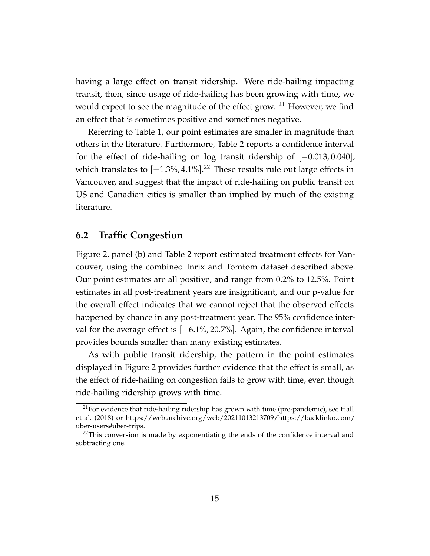having a large effect on transit ridership. Were ride-hailing impacting transit, then, since usage of ride-hailing has been growing with time, we would expect to see the magnitude of the effect grow. <sup>[21](#page-0-0)</sup> However, we find an effect that is sometimes positive and sometimes negative.

Referring to Table [1,](#page-28-0) our point estimates are smaller in magnitude than others in the literature. Furthermore, Table [2](#page-29-0) reports a confidence interval for the effect of ride-hailing on log transit ridership of [−0.013, 0.040], which translates to  $[-1.3\%, 4.1\%].^{22}$  $[-1.3\%, 4.1\%].^{22}$  $[-1.3\%, 4.1\%].^{22}$  These results rule out large effects in Vancouver, and suggest that the impact of ride-hailing on public transit on US and Canadian cities is smaller than implied by much of the existing literature.

#### **6.2 Traffic Congestion**

Figure [2,](#page-27-0) panel (b) and Table [2](#page-29-0) report estimated treatment effects for Vancouver, using the combined Inrix and Tomtom dataset described above. Our point estimates are all positive, and range from 0.2% to 12.5%. Point estimates in all post-treatment years are insignificant, and our p-value for the overall effect indicates that we cannot reject that the observed effects happened by chance in any post-treatment year. The 95% confidence interval for the average effect is [−6.1%, 20.7%]. Again, the confidence interval provides bounds smaller than many existing estimates.

As with public transit ridership, the pattern in the point estimates displayed in Figure [2](#page-27-0) provides further evidence that the effect is small, as the effect of ride-hailing on congestion fails to grow with time, even though ride-hailing ridership grows with time.

 $21$ For evidence that ride-hailing ridership has grown with time (pre-pandemic), see [Hall](#page-23-2) [et al.](#page-23-2) [\(2018\)](#page-23-2) or [https://web.archive.org/web/20211013213709/https://backlinko.com/](https://web.archive.org/web/20211013213709/https://backlinko.com/uber-users##uber-trips) [uber-users#uber-trips.](https://web.archive.org/web/20211013213709/https://backlinko.com/uber-users##uber-trips)

 $22$ This conversion is made by exponentiating the ends of the confidence interval and subtracting one.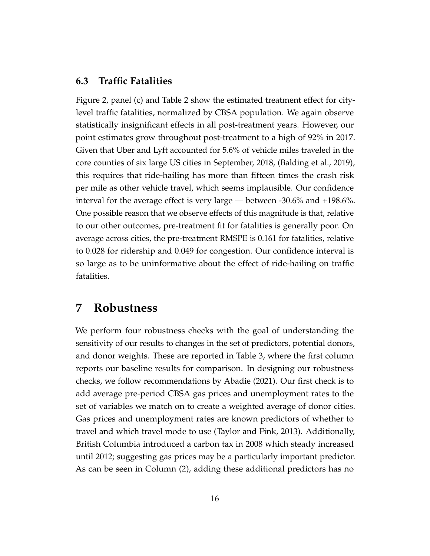#### **6.3 Traffic Fatalities**

Figure [2,](#page-27-0) panel (c) and Table [2](#page-29-0) show the estimated treatment effect for citylevel traffic fatalities, normalized by CBSA population. We again observe statistically insignificant effects in all post-treatment years. However, our point estimates grow throughout post-treatment to a high of 92% in 2017. Given that Uber and Lyft accounted for 5.6% of vehicle miles traveled in the core counties of six large US cities in September, 2018, [\(Balding et al., 2019\)](#page-22-3), this requires that ride-hailing has more than fifteen times the crash risk per mile as other vehicle travel, which seems implausible. Our confidence interval for the average effect is very large — between -30.6% and +198.6%. One possible reason that we observe effects of this magnitude is that, relative to our other outcomes, pre-treatment fit for fatalities is generally poor. On average across cities, the pre-treatment RMSPE is 0.161 for fatalities, relative to 0.028 for ridership and 0.049 for congestion. Our confidence interval is so large as to be uninformative about the effect of ride-hailing on traffic fatalities.

### **7 Robustness**

We perform four robustness checks with the goal of understanding the sensitivity of our results to changes in the set of predictors, potential donors, and donor weights. These are reported in Table [3,](#page-30-0) where the first column reports our baseline results for comparison. In designing our robustness checks, we follow recommendations by [Abadie](#page-21-3) [\(2021\)](#page-21-3). Our first check is to add average pre-period CBSA gas prices and unemployment rates to the set of variables we match on to create a weighted average of donor cities. Gas prices and unemployment rates are known predictors of whether to travel and which travel mode to use [\(Taylor and Fink, 2013\)](#page-25-3). Additionally, British Columbia introduced a carbon tax in 2008 which steady increased until 2012; suggesting gas prices may be a particularly important predictor. As can be seen in Column (2), adding these additional predictors has no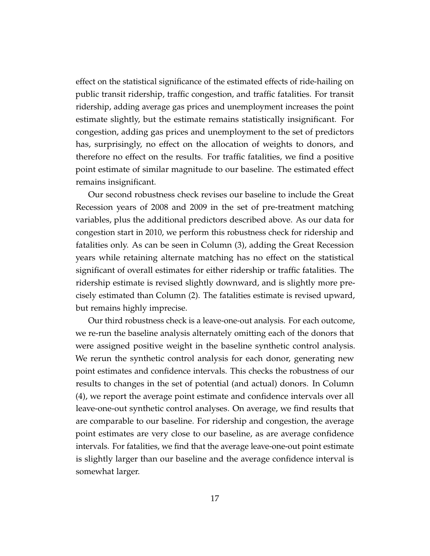effect on the statistical significance of the estimated effects of ride-hailing on public transit ridership, traffic congestion, and traffic fatalities. For transit ridership, adding average gas prices and unemployment increases the point estimate slightly, but the estimate remains statistically insignificant. For congestion, adding gas prices and unemployment to the set of predictors has, surprisingly, no effect on the allocation of weights to donors, and therefore no effect on the results. For traffic fatalities, we find a positive point estimate of similar magnitude to our baseline. The estimated effect remains insignificant.

Our second robustness check revises our baseline to include the Great Recession years of 2008 and 2009 in the set of pre-treatment matching variables, plus the additional predictors described above. As our data for congestion start in 2010, we perform this robustness check for ridership and fatalities only. As can be seen in Column (3), adding the Great Recession years while retaining alternate matching has no effect on the statistical significant of overall estimates for either ridership or traffic fatalities. The ridership estimate is revised slightly downward, and is slightly more precisely estimated than Column (2). The fatalities estimate is revised upward, but remains highly imprecise.

Our third robustness check is a leave-one-out analysis. For each outcome, we re-run the baseline analysis alternately omitting each of the donors that were assigned positive weight in the baseline synthetic control analysis. We rerun the synthetic control analysis for each donor, generating new point estimates and confidence intervals. This checks the robustness of our results to changes in the set of potential (and actual) donors. In Column (4), we report the average point estimate and confidence intervals over all leave-one-out synthetic control analyses. On average, we find results that are comparable to our baseline. For ridership and congestion, the average point estimates are very close to our baseline, as are average confidence intervals. For fatalities, we find that the average leave-one-out point estimate is slightly larger than our baseline and the average confidence interval is somewhat larger.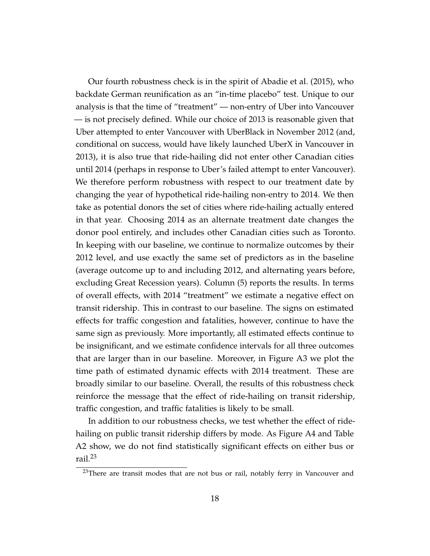Our fourth robustness check is in the spirit of [Abadie et al.](#page-21-4) [\(2015\)](#page-21-4), who backdate German reunification as an "in-time placebo" test. Unique to our analysis is that the time of "treatment" — non-entry of Uber into Vancouver — is not precisely defined. While our choice of 2013 is reasonable given that Uber attempted to enter Vancouver with UberBlack in November 2012 (and, conditional on success, would have likely launched UberX in Vancouver in 2013), it is also true that ride-hailing did not enter other Canadian cities until 2014 (perhaps in response to Uber's failed attempt to enter Vancouver). We therefore perform robustness with respect to our treatment date by changing the year of hypothetical ride-hailing non-entry to 2014. We then take as potential donors the set of cities where ride-hailing actually entered in that year. Choosing 2014 as an alternate treatment date changes the donor pool entirely, and includes other Canadian cities such as Toronto. In keeping with our baseline, we continue to normalize outcomes by their 2012 level, and use exactly the same set of predictors as in the baseline (average outcome up to and including 2012, and alternating years before, excluding Great Recession years). Column (5) reports the results. In terms of overall effects, with 2014 "treatment" we estimate a negative effect on transit ridership. This in contrast to our baseline. The signs on estimated effects for traffic congestion and fatalities, however, continue to have the same sign as previously. More importantly, all estimated effects continue to be insignificant, and we estimate confidence intervals for all three outcomes that are larger than in our baseline. Moreover, in Figure [A3](#page-33-0) we plot the time path of estimated dynamic effects with 2014 treatment. These are broadly similar to our baseline. Overall, the results of this robustness check reinforce the message that the effect of ride-hailing on transit ridership, traffic congestion, and traffic fatalities is likely to be small.

In addition to our robustness checks, we test whether the effect of ridehailing on public transit ridership differs by mode. As Figure [A4](#page-34-0) and Table [A2](#page-37-0) show, we do not find statistically significant effects on either bus or rail.[23](#page-0-0)

 $23$ There are transit modes that are not bus or rail, notably ferry in Vancouver and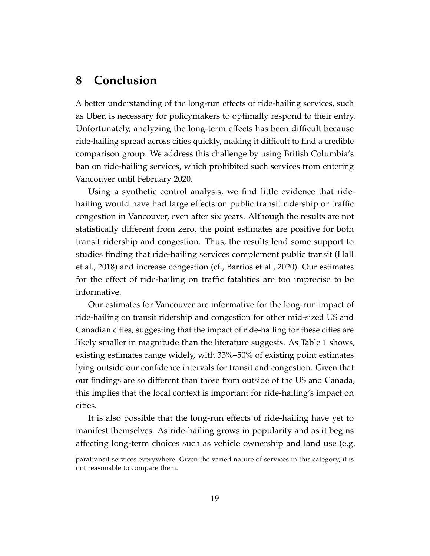## **8 Conclusion**

A better understanding of the long-run effects of ride-hailing services, such as Uber, is necessary for policymakers to optimally respond to their entry. Unfortunately, analyzing the long-term effects has been difficult because ride-hailing spread across cities quickly, making it difficult to find a credible comparison group. We address this challenge by using British Columbia's ban on ride-hailing services, which prohibited such services from entering Vancouver until February 2020.

Using a synthetic control analysis, we find little evidence that ridehailing would have had large effects on public transit ridership or traffic congestion in Vancouver, even after six years. Although the results are not statistically different from zero, the point estimates are positive for both transit ridership and congestion. Thus, the results lend some support to studies finding that ride-hailing services complement public transit [\(Hall](#page-23-2) [et al., 2018\)](#page-23-2) and increase congestion (cf., [Barrios et al., 2020\)](#page-22-2). Our estimates for the effect of ride-hailing on traffic fatalities are too imprecise to be informative.

Our estimates for Vancouver are informative for the long-run impact of ride-hailing on transit ridership and congestion for other mid-sized US and Canadian cities, suggesting that the impact of ride-hailing for these cities are likely smaller in magnitude than the literature suggests. As Table [1](#page-28-0) shows, existing estimates range widely, with 33%–50% of existing point estimates lying outside our confidence intervals for transit and congestion. Given that our findings are so different than those from outside of the US and Canada, this implies that the local context is important for ride-hailing's impact on cities.

It is also possible that the long-run effects of ride-hailing have yet to manifest themselves. As ride-hailing grows in popularity and as it begins affecting long-term choices such as vehicle ownership and land use (e.g.

paratransit services everywhere. Given the varied nature of services in this category, it is not reasonable to compare them.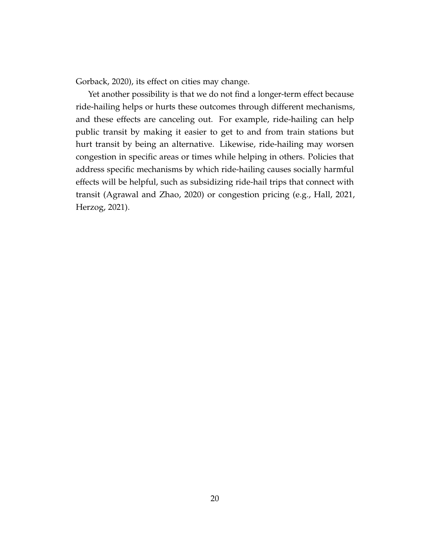[Gorback, 2020\)](#page-23-5), its effect on cities may change.

Yet another possibility is that we do not find a longer-term effect because ride-hailing helps or hurts these outcomes through different mechanisms, and these effects are canceling out. For example, ride-hailing can help public transit by making it easier to get to and from train stations but hurt transit by being an alternative. Likewise, ride-hailing may worsen congestion in specific areas or times while helping in others. Policies that address specific mechanisms by which ride-hailing causes socially harmful effects will be helpful, such as subsidizing ride-hail trips that connect with transit [\(Agrawal and Zhao, 2020\)](#page-21-5) or congestion pricing (e.g., [Hall, 2021,](#page-23-6) [Herzog, 2021\)](#page-24-4).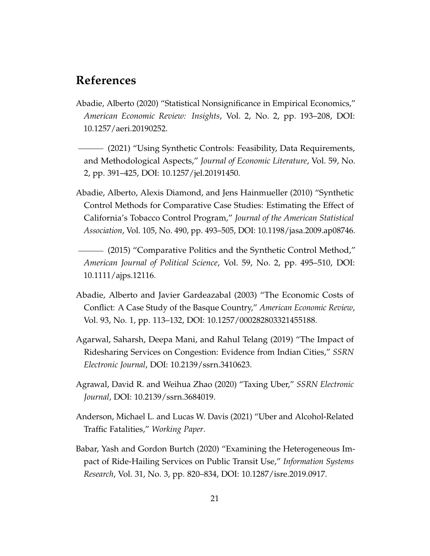## <span id="page-21-8"></span><span id="page-21-7"></span><span id="page-21-6"></span>**References**

- <span id="page-21-2"></span>Abadie, Alberto (2020) "Statistical Nonsignificance in Empirical Economics," *American Economic Review: Insights*, Vol. 2, No. 2, pp. 193–208, DOI: [10.1257/aeri.20190252.](http://dx.doi.org/10.1257/aeri.20190252)
- <span id="page-21-3"></span>(2021) "Using Synthetic Controls: Feasibility, Data Requirements, and Methodological Aspects," *Journal of Economic Literature*, Vol. 59, No. 2, pp. 391–425, DOI: [10.1257/jel.20191450.](http://dx.doi.org/10.1257/jel.20191450)
- <span id="page-21-4"></span><span id="page-21-1"></span>Abadie, Alberto, Alexis Diamond, and Jens Hainmueller (2010) "Synthetic Control Methods for Comparative Case Studies: Estimating the Effect of California's Tobacco Control Program," *Journal of the American Statistical Association*, Vol. 105, No. 490, pp. 493–505, DOI: [10.1198/jasa.2009.ap08746.](http://dx.doi.org/10.1198/jasa.2009.ap08746)
	- (2015) "Comparative Politics and the Synthetic Control Method," *American Journal of Political Science*, Vol. 59, No. 2, pp. 495–510, DOI: [10.1111/ajps.12116.](http://dx.doi.org/10.1111/ajps.12116)
- <span id="page-21-0"></span>Abadie, Alberto and Javier Gardeazabal (2003) "The Economic Costs of Conflict: A Case Study of the Basque Country," *American Economic Review*, Vol. 93, No. 1, pp. 113–132, DOI: [10.1257/000282803321455188.](http://dx.doi.org/10.1257/000282803321455188)
- Agarwal, Saharsh, Deepa Mani, and Rahul Telang (2019) "The Impact of Ridesharing Services on Congestion: Evidence from Indian Cities," *SSRN Electronic Journal*, DOI: [10.2139/ssrn.3410623.](http://dx.doi.org/10.2139/ssrn.3410623)
- <span id="page-21-5"></span>Agrawal, David R. and Weihua Zhao (2020) "Taxing Uber," *SSRN Electronic Journal*, DOI: [10.2139/ssrn.3684019.](http://dx.doi.org/10.2139/ssrn.3684019)
- Anderson, Michael L. and Lucas W. Davis (2021) "Uber and Alcohol-Related Traffic Fatalities," *Working Paper*.
- Babar, Yash and Gordon Burtch (2020) "Examining the Heterogeneous Impact of Ride-Hailing Services on Public Transit Use," *Information Systems Research*, Vol. 31, No. 3, pp. 820–834, DOI: [10.1287/isre.2019.0917.](http://dx.doi.org/10.1287/isre.2019.0917)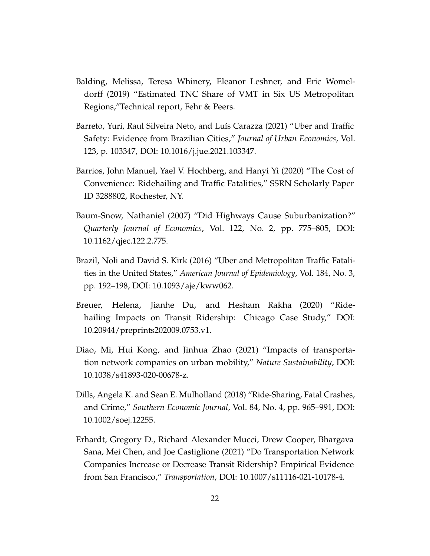- <span id="page-22-9"></span><span id="page-22-8"></span><span id="page-22-7"></span><span id="page-22-6"></span><span id="page-22-5"></span><span id="page-22-4"></span><span id="page-22-3"></span>Balding, Melissa, Teresa Whinery, Eleanor Leshner, and Eric Womeldorff (2019) "Estimated TNC Share of VMT in Six US Metropolitan Regions,"Technical report, Fehr & Peers.
- Barreto, Yuri, Raul Silveira Neto, and Luís Carazza (2021) "Uber and Traffic Safety: Evidence from Brazilian Cities," *Journal of Urban Economics*, Vol. 123, p. 103347, DOI: [10.1016/j.jue.2021.103347.](http://dx.doi.org/10.1016/j.jue.2021.103347)
- <span id="page-22-2"></span>Barrios, John Manuel, Yael V. Hochberg, and Hanyi Yi (2020) "The Cost of Convenience: Ridehailing and Traffic Fatalities," SSRN Scholarly Paper ID 3288802, Rochester, NY.
- <span id="page-22-0"></span>Baum-Snow, Nathaniel (2007) "Did Highways Cause Suburbanization?" *Quarterly Journal of Economics*, Vol. 122, No. 2, pp. 775–805, DOI: [10.1162/qjec.122.2.775.](http://dx.doi.org/10.1162/qjec.122.2.775)
- Brazil, Noli and David S. Kirk (2016) "Uber and Metropolitan Traffic Fatalities in the United States," *American Journal of Epidemiology*, Vol. 184, No. 3, pp. 192–198, DOI: [10.1093/aje/kww062.](http://dx.doi.org/10.1093/aje/kww062)
- <span id="page-22-1"></span>Breuer, Helena, Jianhe Du, and Hesham Rakha (2020) "Ridehailing Impacts on Transit Ridership: Chicago Case Study," DOI: [10.20944/preprints202009.0753.v1.](http://dx.doi.org/10.20944/preprints202009.0753.v1)
- Diao, Mi, Hui Kong, and Jinhua Zhao (2021) "Impacts of transportation network companies on urban mobility," *Nature Sustainability*, DOI: [10.1038/s41893-020-00678-z.](http://dx.doi.org/10.1038/s41893-020-00678-z)
- Dills, Angela K. and Sean E. Mulholland (2018) "Ride-Sharing, Fatal Crashes, and Crime," *Southern Economic Journal*, Vol. 84, No. 4, pp. 965–991, DOI: [10.1002/soej.12255.](http://dx.doi.org/10.1002/soej.12255)
- Erhardt, Gregory D., Richard Alexander Mucci, Drew Cooper, Bhargava Sana, Mei Chen, and Joe Castiglione (2021) "Do Transportation Network Companies Increase or Decrease Transit Ridership? Empirical Evidence from San Francisco," *Transportation*, DOI: [10.1007/s11116-021-10178-4.](http://dx.doi.org/10.1007/s11116-021-10178-4)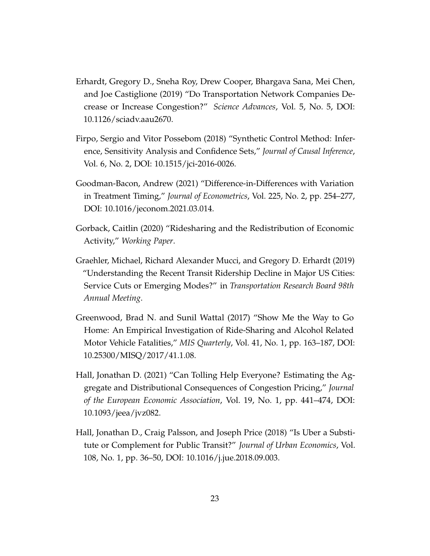- <span id="page-23-10"></span><span id="page-23-9"></span><span id="page-23-8"></span><span id="page-23-7"></span><span id="page-23-3"></span>Erhardt, Gregory D., Sneha Roy, Drew Cooper, Bhargava Sana, Mei Chen, and Joe Castiglione (2019) "Do Transportation Network Companies Decrease or Increase Congestion?" *Science Advances*, Vol. 5, No. 5, DOI: [10.1126/sciadv.aau2670.](http://dx.doi.org/10.1126/sciadv.aau2670)
- <span id="page-23-0"></span>Firpo, Sergio and Vitor Possebom (2018) "Synthetic Control Method: Inference, Sensitivity Analysis and Confidence Sets," *Journal of Causal Inference*, Vol. 6, No. 2, DOI: [10.1515/jci-2016-0026.](http://dx.doi.org/10.1515/jci-2016-0026)
- <span id="page-23-4"></span>Goodman-Bacon, Andrew (2021) "Difference-in-Differences with Variation in Treatment Timing," *Journal of Econometrics*, Vol. 225, No. 2, pp. 254–277, DOI: [10.1016/jeconom.2021.03.014.](http://dx.doi.org/10.1016/jeconom.2021.03.014)
- <span id="page-23-5"></span>Gorback, Caitlin (2020) "Ridesharing and the Redistribution of Economic Activity," *Working Paper*.
- Graehler, Michael, Richard Alexander Mucci, and Gregory D. Erhardt (2019) "Understanding the Recent Transit Ridership Decline in Major US Cities: Service Cuts or Emerging Modes?" in *Transportation Research Board 98th Annual Meeting*.
- <span id="page-23-1"></span>Greenwood, Brad N. and Sunil Wattal (2017) "Show Me the Way to Go Home: An Empirical Investigation of Ride-Sharing and Alcohol Related Motor Vehicle Fatalities," *MIS Quarterly*, Vol. 41, No. 1, pp. 163–187, DOI: [10.25300/MISQ/2017/41.1.08.](http://dx.doi.org/10.25300/MISQ/2017/41.1.08)
- <span id="page-23-6"></span>Hall, Jonathan D. (2021) "Can Tolling Help Everyone? Estimating the Aggregate and Distributional Consequences of Congestion Pricing," *Journal of the European Economic Association*, Vol. 19, No. 1, pp. 441–474, DOI: [10.1093/jeea/jvz082.](http://dx.doi.org/10.1093/jeea/jvz082)
- <span id="page-23-2"></span>Hall, Jonathan D., Craig Palsson, and Joseph Price (2018) "Is Uber a Substitute or Complement for Public Transit?" *Journal of Urban Economics*, Vol. 108, No. 1, pp. 36–50, DOI: [10.1016/j.jue.2018.09.003.](http://dx.doi.org/10.1016/j.jue.2018.09.003)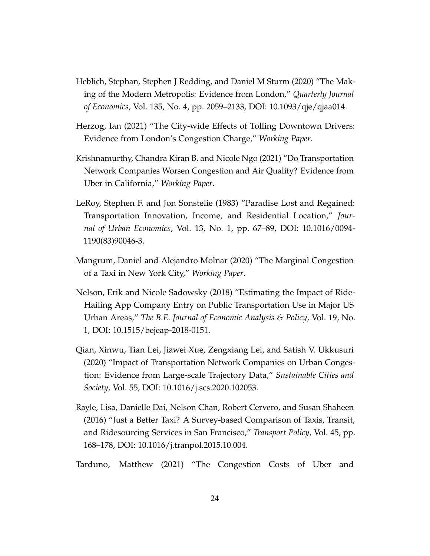- <span id="page-24-9"></span><span id="page-24-8"></span><span id="page-24-7"></span><span id="page-24-6"></span><span id="page-24-5"></span><span id="page-24-0"></span>Heblich, Stephan, Stephen J Redding, and Daniel M Sturm (2020) "The Making of the Modern Metropolis: Evidence from London," *Quarterly Journal of Economics*, Vol. 135, No. 4, pp. 2059–2133, DOI: [10.1093/qje/qjaa014.](http://dx.doi.org/10.1093/qje/qjaa014)
- <span id="page-24-4"></span>Herzog, Ian (2021) "The City-wide Effects of Tolling Downtown Drivers: Evidence from London's Congestion Charge," *Working Paper*.
- <span id="page-24-3"></span>Krishnamurthy, Chandra Kiran B. and Nicole Ngo (2021) "Do Transportation Network Companies Worsen Congestion and Air Quality? Evidence from Uber in California," *Working Paper*.
- <span id="page-24-1"></span>LeRoy, Stephen F. and Jon Sonstelie (1983) "Paradise Lost and Regained: Transportation Innovation, Income, and Residential Location," *Journal of Urban Economics*, Vol. 13, No. 1, pp. 67–89, DOI: [10.1016/0094-](http://dx.doi.org/10.1016/0094-1190(83)90046-3) [1190\(83\)90046-3.](http://dx.doi.org/10.1016/0094-1190(83)90046-3)
- Mangrum, Daniel and Alejandro Molnar (2020) "The Marginal Congestion of a Taxi in New York City," *Working Paper*.
- Nelson, Erik and Nicole Sadowsky (2018) "Estimating the Impact of Ride-Hailing App Company Entry on Public Transportation Use in Major US Urban Areas," *The B.E. Journal of Economic Analysis & Policy*, Vol. 19, No. 1, DOI: [10.1515/bejeap-2018-0151.](http://dx.doi.org/10.1515/bejeap-2018-0151)
- Qian, Xinwu, Tian Lei, Jiawei Xue, Zengxiang Lei, and Satish V. Ukkusuri (2020) "Impact of Transportation Network Companies on Urban Congestion: Evidence from Large-scale Trajectory Data," *Sustainable Cities and Society*, Vol. 55, DOI: [10.1016/j.scs.2020.102053.](http://dx.doi.org/10.1016/j.scs.2020.102053)
- <span id="page-24-2"></span>Rayle, Lisa, Danielle Dai, Nelson Chan, Robert Cervero, and Susan Shaheen (2016) "Just a Better Taxi? A Survey-based Comparison of Taxis, Transit, and Ridesourcing Services in San Francisco," *Transport Policy*, Vol. 45, pp. 168–178, DOI: [10.1016/j.tranpol.2015.10.004.](http://dx.doi.org/10.1016/j.tranpol.2015.10.004)
- Tarduno, Matthew (2021) "The Congestion Costs of Uber and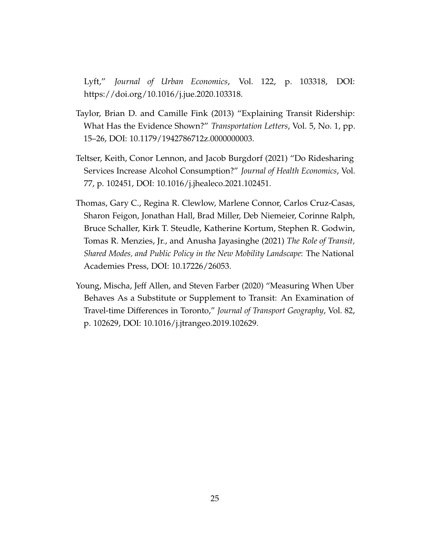Lyft," *Journal of Urban Economics*, Vol. 122, p. 103318, DOI: [https://doi.org/10.1016/j.jue.2020.103318.](http://dx.doi.org/https://doi.org/10.1016/j.jue.2020.103318)

- <span id="page-25-3"></span>Taylor, Brian D. and Camille Fink (2013) "Explaining Transit Ridership: What Has the Evidence Shown?" *Transportation Letters*, Vol. 5, No. 1, pp. 15–26, DOI: [10.1179/1942786712z.0000000003.](http://dx.doi.org/10.1179/1942786712z.0000000003)
- <span id="page-25-1"></span>Teltser, Keith, Conor Lennon, and Jacob Burgdorf (2021) "Do Ridesharing Services Increase Alcohol Consumption?" *Journal of Health Economics*, Vol. 77, p. 102451, DOI: [10.1016/j.jhealeco.2021.102451.](http://dx.doi.org/10.1016/j.jhealeco.2021.102451)
- <span id="page-25-0"></span>Thomas, Gary C., Regina R. Clewlow, Marlene Connor, Carlos Cruz-Casas, Sharon Feigon, Jonathan Hall, Brad Miller, Deb Niemeier, Corinne Ralph, Bruce Schaller, Kirk T. Steudle, Katherine Kortum, Stephen R. Godwin, Tomas R. Menzies, Jr., and Anusha Jayasinghe (2021) *The Role of Transit, Shared Modes, and Public Policy in the New Mobility Landscape*: The National Academies Press, DOI: [10.17226/26053.](http://dx.doi.org/10.17226/26053)
- <span id="page-25-2"></span>Young, Mischa, Jeff Allen, and Steven Farber (2020) "Measuring When Uber Behaves As a Substitute or Supplement to Transit: An Examination of Travel-time Differences in Toronto," *Journal of Transport Geography*, Vol. 82, p. 102629, DOI: [10.1016/j.jtrangeo.2019.102629.](http://dx.doi.org/10.1016/j.jtrangeo.2019.102629)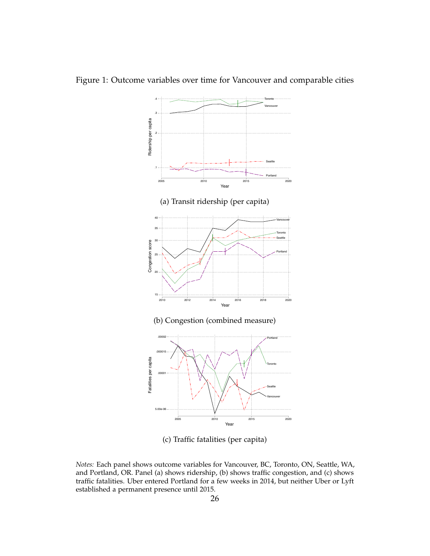

<span id="page-26-0"></span>Figure 1: Outcome variables over time for Vancouver and comparable cities

(c) Traffic fatalities (per capita)

*Notes:* Each panel shows outcome variables for Vancouver, BC, Toronto, ON, Seattle, WA, and Portland, OR. Panel (a) shows ridership, (b) shows traffic congestion, and (c) shows traffic fatalities. Uber entered Portland for a few weeks in 2014, but neither Uber or Lyft established a permanent presence until 2015.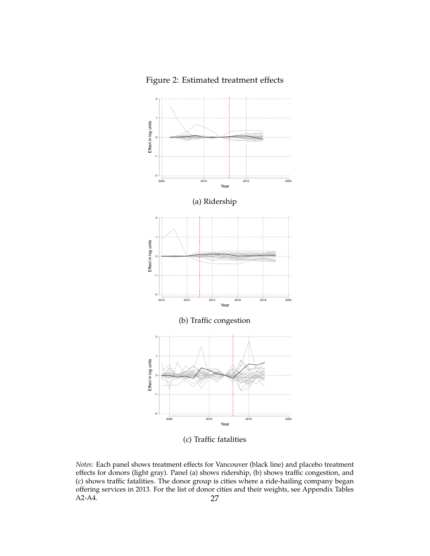<span id="page-27-0"></span>Figure 2: Estimated treatment effects



(c) Traffic fatalities

*Notes:* Each panel shows treatment effects for Vancouver (black line) and placebo treatment effects for donors (light gray). Panel (a) shows ridership, (b) shows traffic congestion, and (c) shows traffic fatalities. The donor group is cities where a ride-hailing company began offering services in 2013. For the list of donor cities and their weights, see Appendix Tables A2-A4. 27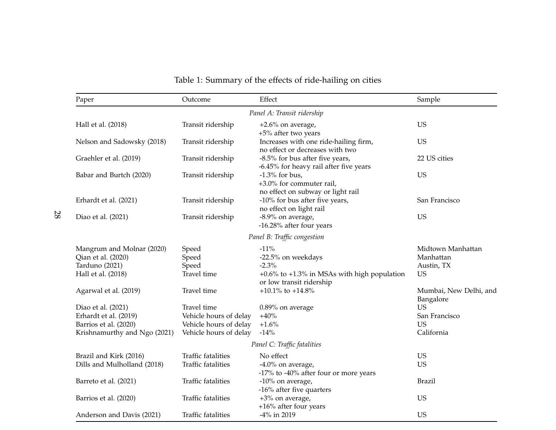<span id="page-28-0"></span>

| Paper                                                                                                | Outcome                                                                                   | Effect                                                                                       | Sample                                                    |
|------------------------------------------------------------------------------------------------------|-------------------------------------------------------------------------------------------|----------------------------------------------------------------------------------------------|-----------------------------------------------------------|
|                                                                                                      |                                                                                           | Panel A: Transit ridership                                                                   |                                                           |
| Hall et al. (2018)                                                                                   | Transit ridership                                                                         | $+2.6\%$ on average,<br>+5% after two years                                                  | <b>US</b>                                                 |
| Nelson and Sadowsky (2018)                                                                           | Transit ridership                                                                         | Increases with one ride-hailing firm,<br>no effect or decreases with two                     | <b>US</b>                                                 |
| Graehler et al. (2019)                                                                               | Transit ridership                                                                         | -8.5% for bus after five years,<br>-6.45% for heavy rail after five years                    | 22 US cities                                              |
| Babar and Burtch (2020)                                                                              | Transit ridership                                                                         | $-1.3\%$ for bus,<br>+3.0% for commuter rail,<br>no effect on subway or light rail           | <b>US</b>                                                 |
| Erhardt et al. (2021)                                                                                | Transit ridership                                                                         | -10% for bus after five years,<br>no effect on light rail                                    | San Francisco                                             |
| Diao et al. (2021)                                                                                   | Transit ridership                                                                         | -8.9% on average,<br>-16.28% after four years                                                | <b>US</b>                                                 |
|                                                                                                      |                                                                                           | Panel B: Traffic congestion                                                                  |                                                           |
| Mangrum and Molnar (2020)<br>Qian et al. (2020)<br>Tarduno (2021)<br>Hall et al. (2018)              | Speed<br>Speed<br>Speed<br>Travel time                                                    | $-11%$<br>-22.5% on weekdays<br>$-2.3%$<br>$+0.6\%$ to $+1.3\%$ in MSAs with high population | Midtown Manhattan<br>Manhattan<br>Austin, TX<br><b>US</b> |
| Agarwal et al. (2019)                                                                                | Travel time                                                                               | or low transit ridership<br>+10.1% to +14.8%                                                 | Mumbai, New Delhi, and<br>Bangalore                       |
| Diao et al. (2021)<br>Erhardt et al. (2019)<br>Barrios et al. (2020)<br>Krishnamurthy and Ngo (2021) | Travel time<br>Vehicle hours of delay<br>Vehicle hours of delay<br>Vehicle hours of delay | 0.89% on average<br>$+40%$<br>$+1.6%$<br>$-14%$                                              | <b>US</b><br>San Francisco<br><b>US</b><br>California     |
|                                                                                                      |                                                                                           | Panel C: Traffic fatalities                                                                  |                                                           |
| Brazil and Kirk (2016)<br>Dills and Mulholland (2018)                                                | <b>Traffic fatalities</b><br><b>Traffic fatalities</b>                                    | No effect<br>$-4.0\%$ on average,<br>-17% to -40% after four or more years                   | <b>US</b><br><b>US</b>                                    |
| Barreto et al. (2021)                                                                                | Traffic fatalities                                                                        | -10% on average,<br>-16% after five quarters                                                 | <b>Brazil</b>                                             |
| Barrios et al. (2020)                                                                                | Traffic fatalities                                                                        | +3% on average,<br>$+16\%$ after four years                                                  | <b>US</b>                                                 |
| Anderson and Davis (2021)                                                                            | <b>Traffic fatalities</b>                                                                 | -4% in 2019                                                                                  | <b>US</b>                                                 |

## Table 1: Summary of the effects of ride-hailing on cities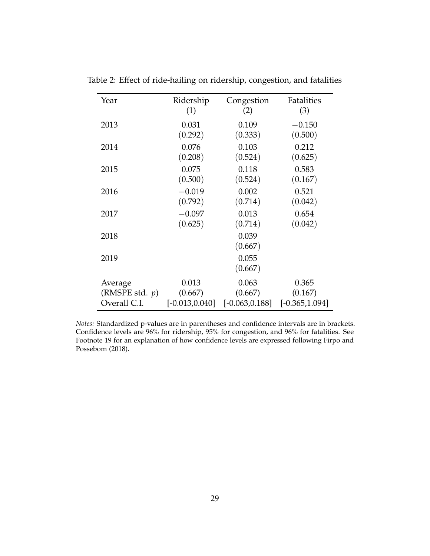| Year              | Ridership         | Congestion        | Fatalities        |
|-------------------|-------------------|-------------------|-------------------|
|                   | (1)               | (2)               | (3)               |
| 2013              | 0.031             | 0.109             | $-0.150$          |
|                   | (0.292)           | (0.333)           | (0.500)           |
| 2014              | 0.076             | 0.103             | 0.212             |
|                   | (0.208)           | (0.524)           | (0.625)           |
| 2015              | 0.075             | 0.118             | 0.583             |
|                   | (0.500)           | (0.524)           | (0.167)           |
| 2016              | $-0.019$          | 0.002             | 0.521             |
|                   | (0.792)           | (0.714)           | (0.042)           |
| 2017              | $-0.097$          | 0.013             | 0.654             |
|                   | (0.625)           | (0.714)           | (0.042)           |
| 2018              |                   | 0.039<br>(0.667)  |                   |
| 2019              |                   | 0.055<br>(0.667)  |                   |
| Average           | 0.013             | 0.063             | 0.365             |
| (RMSPE std. $p$ ) | (0.667)           | (0.667)           | (0.167)           |
| Overall C.I.      | $[-0.013, 0.040]$ | $[-0.063, 0.188]$ | $[-0.365, 1.094]$ |

<span id="page-29-0"></span>Table 2: Effect of ride-hailing on ridership, congestion, and fatalities

*Notes:* Standardized p-values are in parentheses and confidence intervals are in brackets. Confidence levels are 96% for ridership, 95% for congestion, and 96% for fatalities. See Footnote [19](#page-13-0) for an explanation of how confidence levels are expressed following [Firpo and](#page-23-0) [Possebom](#page-23-0) [\(2018\)](#page-23-0).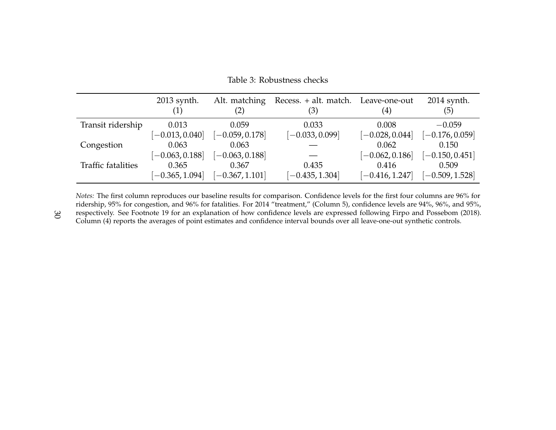|                    | 2013 synth.<br>$\left( 1\right)$ | Alt. matching<br>(2) | Recess. + alt. match. Leave-one-out<br>(3) | $\left( 4\right)$ | 2014 synth.<br>(5) |
|--------------------|----------------------------------|----------------------|--------------------------------------------|-------------------|--------------------|
| Transit ridership  | 0.013                            | 0.059                | 0.033                                      | 0.008             | $-0.059$           |
|                    | $[-0.013, 0.040]$                | $[-0.059, 0.178]$    | $[-0.033, 0.099]$                          | $[-0.028, 0.044]$ | $[-0.176, 0.059]$  |
| Congestion         | 0.063                            | 0.063                |                                            | 0.062             | 0.150              |
|                    | $[-0.063, 0.188]$                | $[-0.063, 0.188]$    |                                            | $[-0.062, 0.186]$ | $[-0.150, 0.451]$  |
| Traffic fatalities | 0.365                            | 0.367                | 0.435                                      | 0.416             | 0.509              |
|                    | $[-0.365, 1.094]$                | $[-0.367, 1.101]$    | $[-0.435, 1.304]$                          | $[-0.416, 1.247]$ | $[-0.509, 1.528]$  |

Table 3: Robustness checks

*Notes:* The first column reproduces our baseline results for comparison. Confidence levels for the first four columns are 96% for ridership, 95% for congestion, and 96% for fatalities. For 2014 "treatment," (Column 5), confidence levels are 94%, 96%, and 95%, respectively. See Footnote [19](#page-13-1) for an explanation of how confidence levels are expressed following Firpo and [Possebom](#page-23-10) [\(2018\)](#page-23-10). Column (4) reports the averages of point estimates and confidence interval bounds over all leave-one-out synthetic controls.

<span id="page-30-0"></span>30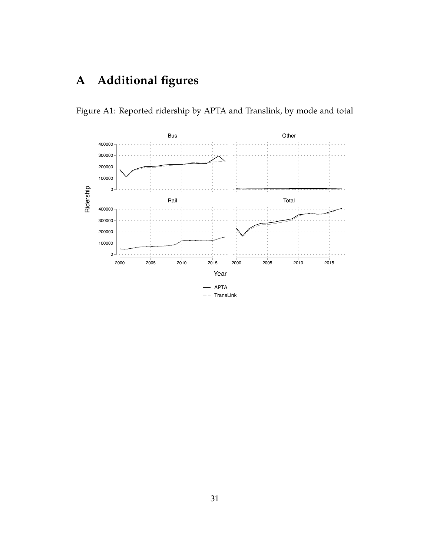## **A Additional figures**



<span id="page-31-0"></span>Figure A1: Reported ridership by APTA and Translink, by mode and total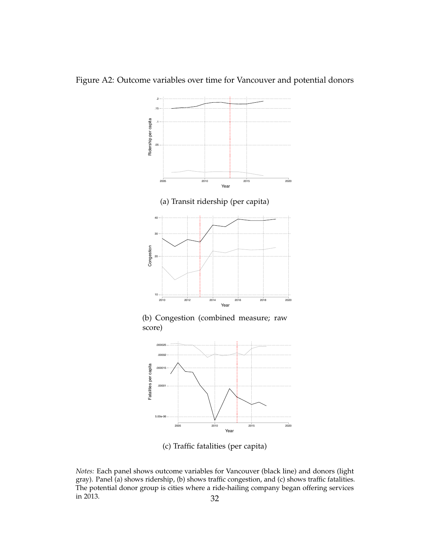

Figure A2: Outcome variables over time for Vancouver and potential donors

(c) Traffic fatalities (per capita)

*Notes:* Each panel shows outcome variables for Vancouver (black line) and donors (light gray). Panel (a) shows ridership, (b) shows traffic congestion, and (c) shows traffic fatalities. The potential donor group is cities where a ride-hailing company began offering services in 2013.  $32$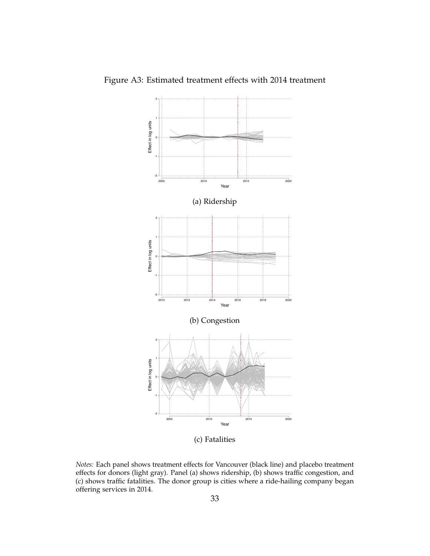

<span id="page-33-0"></span>Figure A3: Estimated treatment effects with 2014 treatment

*Notes:* Each panel shows treatment effects for Vancouver (black line) and placebo treatment effects for donors (light gray). Panel (a) shows ridership, (b) shows traffic congestion, and (c) shows traffic fatalities. The donor group is cities where a ride-hailing company began offering services in 2014.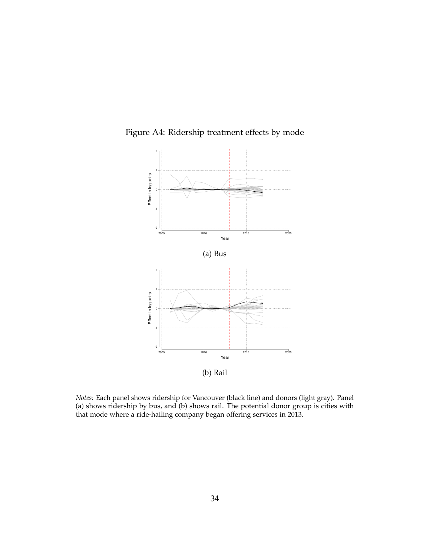

<span id="page-34-0"></span>Figure A4: Ridership treatment effects by mode

*Notes:* Each panel shows ridership for Vancouver (black line) and donors (light gray). Panel (a) shows ridership by bus, and (b) shows rail. The potential donor group is cities with that mode where a ride-hailing company began offering services in 2013.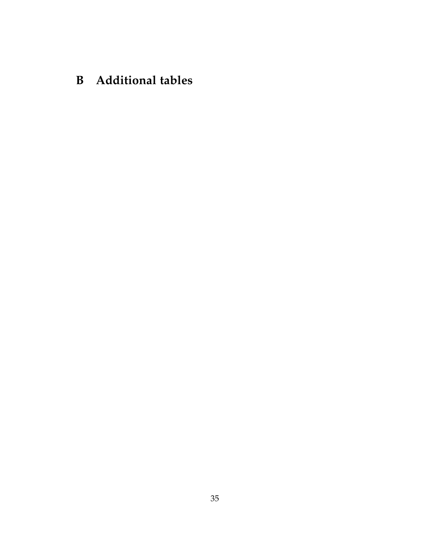## **B Additional tables**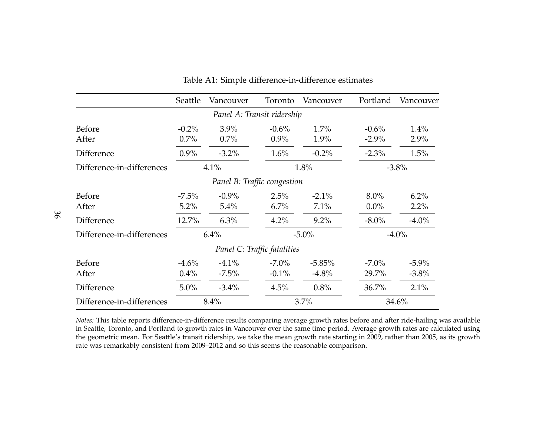|                           | Seattle          | Vancouver                   | Toronto                     | Vancouver        | Portland           | Vancouver    |
|---------------------------|------------------|-----------------------------|-----------------------------|------------------|--------------------|--------------|
|                           |                  | Panel A: Transit ridership  |                             |                  |                    |              |
| Before                    | $-0.2\%$         | $3.9\%$                     | $-0.6\%$                    | $1.7\%$          | $-0.6\%$           | 1.4%         |
| After                     | 0.7%             | $0.7\%$                     | $0.9\%$                     | 1.9%             | $-2.9\%$           | 2.9%         |
| Difference                | $0.9\%$          | $-3.2\%$                    | $1.6\%$                     | $-0.2\%$         | $-2.3\%$           | 1.5%         |
| Difference-in-differences |                  | 4.1%                        |                             | 1.8%             |                    | $-3.8%$      |
|                           |                  | Panel B: Traffic congestion |                             |                  |                    |              |
| <b>Before</b><br>After    | $-7.5\%$<br>5.2% | $-0.9\%$<br>5.4%            | 2.5%<br>$6.7\%$             | $-2.1\%$<br>7.1% | $8.0\%$<br>$0.0\%$ | 6.2%<br>2.2% |
| <b>Difference</b>         | 12.7%            | 6.3%                        | 4.2%                        | $9.2\%$          | $-8.0\%$           | $-4.0\%$     |
| Difference-in-differences |                  | 6.4%                        |                             | $-5.0\%$         |                    | $-4.0\%$     |
|                           |                  |                             | Panel C: Traffic fatalities |                  |                    |              |
| <b>Before</b>             | $-4.6\%$         | $-4.1\%$                    | $-7.0\%$                    | $-5.85%$         | $-7.0\%$           | $-5.9\%$     |
| After                     | $0.4\%$          | $-7.5\%$                    | $-0.1\%$                    | $-4.8%$          | 29.7%              | $-3.8\%$     |
| Difference                | $5.0\%$          | $-3.4\%$                    | 4.5%                        | 0.8%             | 36.7%              | 2.1%         |
| Difference-in-differences |                  | 8.4%                        |                             | 3.7%             |                    | 34.6%        |

<span id="page-36-0"></span>Table A1: Simple difference-in-difference estimates

*Notes:* This table reports difference-in-difference results comparing average growth rates before and after ride-hailing was available in Seattle, Toronto, and Portland to growth rates in Vancouver over the same time period. Average growth rates are calculated using the geometric mean. For Seattle's transit ridership, we take the mean growth rate starting in 2009, rather than 2005, as its growthrate was remarkably consistent from 2009–2012 and so this seems the reasonable comparison.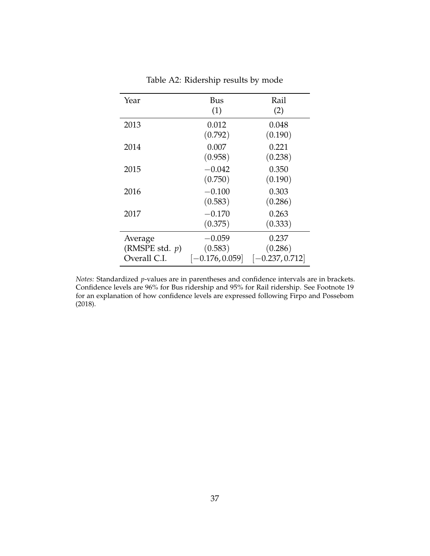<span id="page-37-0"></span>

| Year              | Bus               | Rail              |
|-------------------|-------------------|-------------------|
|                   | (1)               | (2)               |
| 2013              | 0.012             | 0.048             |
|                   | (0.792)           | (0.190)           |
| 2014              | 0.007             | 0.221             |
|                   | (0.958)           | (0.238)           |
| 2015              | $-0.042$          | 0.350             |
|                   | (0.750)           | (0.190)           |
| 2016              | $-0.100$          | 0.303             |
|                   | (0.583)           | (0.286)           |
| 2017              | $-0.170$          | 0.263             |
|                   | (0.375)           | (0.333)           |
| Average           | $-0.059$          | 0.237             |
| (RMSPE std. $p$ ) | (0.583)           | (0.286)           |
| Overall C.I.      | $[-0.176, 0.059]$ | $[-0.237, 0.712]$ |

Table A2: Ridership results by mode

*Notes:* Standardized *p*-values are in parentheses and confidence intervals are in brackets. Confidence levels are 96% for Bus ridership and 95% for Rail ridership. See Footnote [19](#page-13-0) for an explanation of how confidence levels are expressed following [Firpo and Possebom](#page-23-0) [\(2018\)](#page-23-0).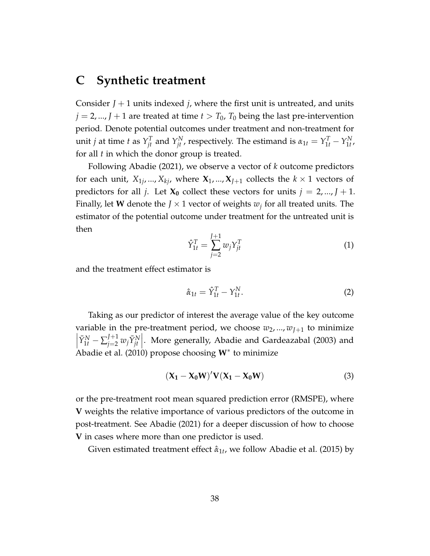## **C Synthetic treatment**

Consider  $J + 1$  units indexed *j*, where the first unit is untreated, and units  $j = 2, ..., J + 1$  are treated at time  $t > T_0$ ,  $T_0$  being the last pre-intervention period. Denote potential outcomes under treatment and non-treatment for unit *j* at time *t* as  $Y_{jt}^T$  and  $Y_{jt}^N$ , respectively. The estimand is  $\alpha_{1t} = Y_{1t}^T - Y_{1t}^N$ 1*t* , for all *t* in which the donor group is treated.

Following [Abadie](#page-21-3) [\(2021\)](#page-21-3), we observe a vector of *k* outcome predictors for each unit,  $X_{1j}$ , ...,  $X_{kj}$ , where  $X_1$ , ...,  $X_{J+1}$  collects the  $k \times 1$  vectors of predictors for all *j*. Let  $X_0$  collect these vectors for units  $j = 2, ..., J + 1$ . Finally, let **W** denote the  $J \times 1$  vector of weights  $w_j$  for all treated units. The estimator of the potential outcome under treatment for the untreated unit is then

$$
\hat{Y}_{1t}^T = \sum_{j=2}^{J+1} w_j Y_{jt}^T
$$
\n(1)

and the treatment effect estimator is

$$
\hat{\alpha}_{1t} = \hat{Y}_{1t}^T - Y_{1t}^N. \tag{2}
$$

Taking as our predictor of interest the average value of the key outcome variable in the pre-treatment period, we choose  $w_2$ , ...,  $w_{I+1}$  to minimize  $\overline{\phantom{a}}$  $\bar{Y}_{1t}^{N} - \sum_{j=2}^{J+1} w_j \bar{Y}_{jt}^{N}$ . More generally, [Abadie and Gardeazabal](#page-21-0) [\(2003\)](#page-21-0) and [Abadie et al.](#page-21-1) [\(2010\)](#page-21-1) propose choosing **W**<sup>∗</sup> to minimize

$$
(\mathbf{X}_1 - \mathbf{X}_0 \mathbf{W})' \mathbf{V} (\mathbf{X}_1 - \mathbf{X}_0 \mathbf{W})
$$
\n(3)

or the pre-treatment root mean squared prediction error (RMSPE), where **V** weights the relative importance of various predictors of the outcome in post-treatment. See [Abadie](#page-21-3) [\(2021\)](#page-21-3) for a deeper discussion of how to choose **V** in cases where more than one predictor is used.

Given estimated treatment effect  $\hat{\alpha}_{1t}$ , we follow [Abadie et al.](#page-21-4) [\(2015\)](#page-21-4) by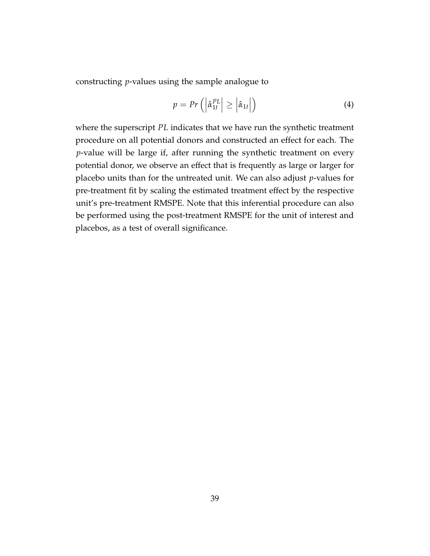constructing *p*-values using the sample analogue to

$$
p = Pr\left(\left|\hat{\alpha}_{1t}^{PL}\right| \geq \left|\hat{\alpha}_{1t}\right|\right) \tag{4}
$$

where the superscript *PL* indicates that we have run the synthetic treatment procedure on all potential donors and constructed an effect for each. The *p*-value will be large if, after running the synthetic treatment on every potential donor, we observe an effect that is frequently as large or larger for placebo units than for the untreated unit. We can also adjust *p*-values for pre-treatment fit by scaling the estimated treatment effect by the respective unit's pre-treatment RMSPE. Note that this inferential procedure can also be performed using the post-treatment RMSPE for the unit of interest and placebos, as a test of overall significance.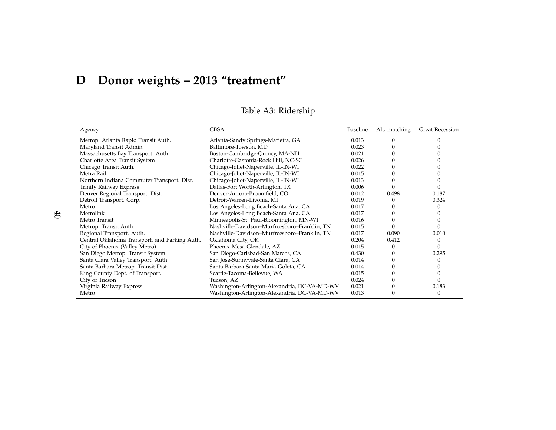# **<sup>D</sup> Donor weights – <sup>2013</sup> "treatment"**

| Agency                                        | <b>CBSA</b>                                  | Baseline | Alt. matching | <b>Great Recession</b> |
|-----------------------------------------------|----------------------------------------------|----------|---------------|------------------------|
| Metrop. Atlanta Rapid Transit Auth.           | Atlanta-Sandy Springs-Marietta, GA           | 0.013    | 0             |                        |
| Maryland Transit Admin.                       | Baltimore-Towson, MD                         | 0.023    |               |                        |
| Massachusetts Bay Transport. Auth.            | Boston-Cambridge-Quincy, MA-NH               | 0.021    |               |                        |
| Charlotte Area Transit System                 | Charlotte-Gastonia-Rock Hill, NC-SC          | 0.026    |               |                        |
| Chicago Transit Auth.                         | Chicago-Joliet-Naperville, IL-IN-WI          | 0.022    |               |                        |
| Metra Rail                                    | Chicago-Joliet-Naperville, IL-IN-WI          | 0.015    |               |                        |
| Northern Indiana Commuter Transport. Dist.    | Chicago-Joliet-Naperville, IL-IN-WI          | 0.013    |               |                        |
| Trinity Railway Express                       | Dallas-Fort Worth-Arlington, TX              | 0.006    |               |                        |
| Denver Regional Transport. Dist.              | Denver-Aurora-Broomfield, CO                 | 0.012    | 0.498         | 0.187                  |
| Detroit Transport. Corp.                      | Detroit-Warren-Livonia, MI                   | 0.019    | 0             | 0.324                  |
| Metro                                         | Los Angeles-Long Beach-Santa Ana, CA         | 0.017    |               |                        |
| Metrolink                                     | Los Angeles-Long Beach-Santa Ana, CA         | 0.017    |               |                        |
| Metro Transit                                 | Minneapolis-St. Paul-Bloomington, MN-WI      | 0.016    |               |                        |
| Metrop. Transit Auth.                         | Nashville-Davidson-Murfreesboro-Franklin, TN | 0.015    |               |                        |
| Regional Transport. Auth.                     | Nashville-Davidson-Murfreesboro-Franklin, TN | 0.017    | 0.090         | 0.010                  |
| Central Oklahoma Transport. and Parking Auth. | Oklahoma City, OK                            | 0.204    | 0.412         |                        |
| City of Phoenix (Valley Metro)                | Phoenix-Mesa-Glendale, AZ                    | 0.015    | 0             |                        |
| San Diego Metrop. Transit System              | San Diego-Carlsbad-San Marcos, CA            | 0.430    |               | 0.295                  |
| Santa Clara Valley Transport. Auth.           | San Jose-Sunnyvale-Santa Clara, CA           | 0.014    |               |                        |
| Santa Barbara Metrop. Transit Dist.           | Santa Barbara-Santa Maria-Goleta, CA         | 0.014    |               |                        |
| King County Dept. of Transport.               | Seattle-Tacoma-Bellevue, WA                  | 0.015    |               |                        |
| City of Tucson                                | Tucson, AZ                                   | 0.024    |               |                        |
| Virginia Railway Express                      | Washington-Arlington-Alexandria, DC-VA-MD-WV | 0.021    |               | 0.183                  |
| Metro                                         | Washington-Arlington-Alexandria, DC-VA-MD-WV | 0.013    |               | 0                      |

Table A3: Ridership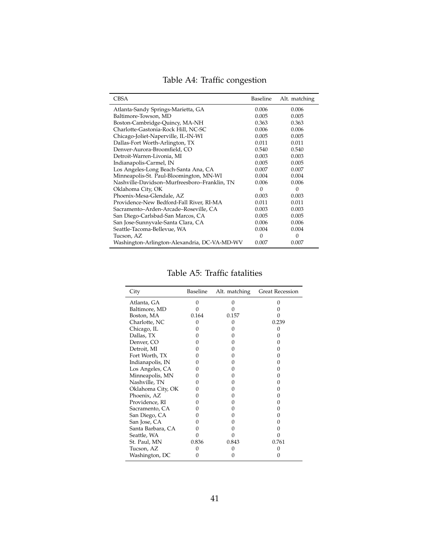|  |  | Table A4: Traffic congestion |
|--|--|------------------------------|
|--|--|------------------------------|

| <b>CBSA</b>                                  | Baseline | Alt. matching |
|----------------------------------------------|----------|---------------|
| Atlanta-Sandy Springs-Marietta, GA           | 0.006    | 0.006         |
| Baltimore-Towson, MD                         | 0.005    | 0.005         |
| Boston-Cambridge-Quincy, MA-NH               | 0.363    | 0.363         |
| Charlotte-Gastonia-Rock Hill, NC-SC          | 0.006    | 0.006         |
| Chicago-Joliet-Naperville, IL-IN-WI          | 0.005    | 0.005         |
| Dallas-Fort Worth-Arlington, TX              | 0.011    | 0.011         |
| Denver-Aurora-Broomfield, CO                 | 0.540    | 0.540         |
| Detroit-Warren-Livonia, MI                   | 0.003    | 0.003         |
| Indianapolis-Carmel, IN                      | 0.005    | 0.005         |
| Los Angeles-Long Beach-Santa Ana, CA         | 0.007    | 0.007         |
| Minneapolis-St. Paul-Bloomington, MN-WI      | 0.004    | 0.004         |
| Nashville-Davidson-Murfreesboro-Franklin, TN | 0.006    | 0.006         |
| Oklahoma City, OK                            | $\Omega$ | $\Omega$      |
| Phoenix-Mesa-Glendale, AZ                    | 0.003    | 0.003         |
| Providence-New Bedford-Fall River, RI-MA     | 0.011    | 0.011         |
| Sacramento-Arden-Arcade-Roseville, CA        | 0.003    | 0.003         |
| San Diego-Carlsbad-San Marcos, CA            | 0.005    | 0.005         |
| San Jose-Sunnyvale-Santa Clara, CA           | 0.006    | 0.006         |
| Seattle-Tacoma-Bellevue, WA                  | 0.004    | 0.004         |
| Tucson, AZ                                   | 0        | $\theta$      |
| Washington-Arlington-Alexandria, DC-VA-MD-WV | 0.007    | 0.007         |

Table A5: Traffic fatalities

| City              | Baseline | Alt. matching     | <b>Great Recession</b> |
|-------------------|----------|-------------------|------------------------|
| Atlanta, GA       | 0        | 0                 |                        |
| Baltimore, MD     |          | 0                 |                        |
| Boston, MA        | 0.164    | 0.157             |                        |
| Charlotte, NC     | 0        | $\Omega$          | 0.239                  |
| Chicago, IL       |          | 0                 |                        |
| Dallas, TX        |          | 0                 |                        |
| Denver, CO        |          | $\theta$          |                        |
| Detroit, MI       |          | $\Omega$          |                        |
| Fort Worth, TX    |          | $\theta$          |                        |
| Indianapolis, IN  | 0        | $\Omega$          |                        |
| Los Angeles, CA   | 0        | $\Omega$          |                        |
| Minneapolis, MN   | 0        | 0                 |                        |
| Nashville, TN     | 0        | 0                 |                        |
| Oklahoma City, OK | 0        | 0                 |                        |
| Phoenix, AZ       |          | $\mathbf{\Omega}$ |                        |
| Providence, RI    |          | $\theta$          |                        |
| Sacramento, CA    |          | $\Omega$          |                        |
| San Diego, CA     |          | 0                 |                        |
| San Jose, CA      | 0        | 0                 |                        |
| Santa Barbara, CA |          | 0                 |                        |
| Seattle, WA       |          |                   |                        |
| St. Paul, MN      | 0.836    | 0.843             | 0.761                  |
| Tucson, AZ        |          |                   |                        |
| Washington, DC    | 0        | $\theta$          |                        |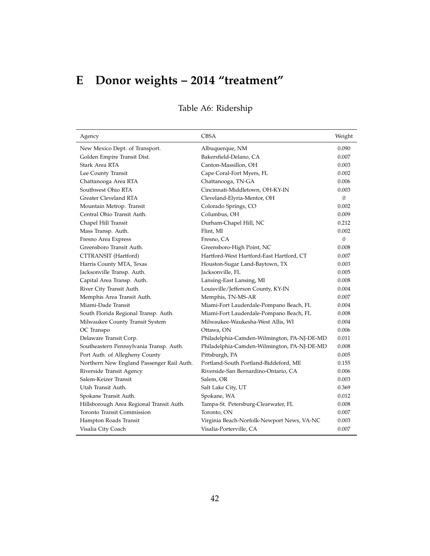# **E Donor weights – 2014 "treatment"**

| Agency                                    | <b>CBSA</b>                                 | Weight       |
|-------------------------------------------|---------------------------------------------|--------------|
| New Mexico Dept. of Transport.            | Albuquerque, NM                             | 0.090        |
| Golden Empire Transit Dist.               | Bakersfield-Delano, CA                      | 0.007        |
| Stark Area RTA                            | Canton-Massillon, OH                        | 0.003        |
| Lee County Transit                        | Cape Coral-Fort Myers, FL                   | 0.002        |
| Chattanooga Area RTA                      | Chattanooga, TN-GA                          | 0.006        |
| Southwest Ohio RTA                        | Cincinnati-Middletown, OH-KY-IN             | 0.003        |
| Greater Cleveland RTA                     | Cleveland-Elyria-Mentor, OH                 | $\theta$     |
| Mountain Metrop. Transit                  | Colorado Springs, CO                        | 0.002        |
| Central Ohio Transit Auth.                | Columbus, OH                                | 0.009        |
| Chapel Hill Transit                       | Durham-Chapel Hill, NC                      | 0.212        |
| Mass Transp. Auth.                        | Flint, MI                                   | 0.002        |
| Fresno Area Express                       | Fresno, CA                                  | $\mathbf{0}$ |
| Greensboro Transit Auth.                  | Greensboro-High Point, NC                   | 0.008        |
| CTTRANSIT (Hartford)                      | Hartford-West Hartford-East Hartford, CT    | 0.007        |
| Harris County MTA, Texas                  | Houston-Sugar Land-Baytown, TX              | 0.003        |
| Jacksonville Transp. Auth.                | Jacksonville, FL                            | 0.005        |
| Capital Area Transp. Auth.                | Lansing-East Lansing, MI                    | 0.008        |
| River City Transit Auth.                  | Louisville/Jefferson County, KY-IN          | 0.004        |
| Memphis Area Transit Auth.                | Memphis, TN-MS-AR                           | 0.007        |
| Miami-Dade Transit                        | Miami-Fort Lauderdale-Pompano Beach, FL     | 0.004        |
| South Florida Regional Transp. Auth.      | Miami-Fort Lauderdale-Pompano Beach, FL     | 0.008        |
| Milwaukee County Transit System           | Milwaukee-Waukesha-West Allis, WI           | 0.004        |
| OC Transpo                                | Ottawa, ON                                  | 0.006        |
| Delaware Transit Corp.                    | Philadelphia-Camden-Wilmington, PA-NJ-DE-MD | 0.011        |
| Southeastern Pennsylvania Transp. Auth.   | Philadelphia-Camden-Wilmington, PA-NJ-DE-MD | 0.008        |
| Port Auth. of Allegheny County            | Pittsburgh, PA                              | 0.005        |
| Northern New England Passenger Rail Auth. | Portland-South Portland-Biddeford, ME       | 0.155        |
| Riverside Transit Agency                  | Riverside-San Bernardino-Ontario, CA        | 0.006        |
| Salem-Keizer Transit                      | Salem, OR                                   | 0.003        |
| Utah Transit Auth.                        | Salt Lake City, UT                          | 0.369        |
| Spokane Transit Auth.                     | Spokane, WA                                 | 0.012        |
| Hillsborough Area Regional Transit Auth.  | Tampa-St. Petersburg-Clearwater, FL         | 0.008        |
| <b>Toronto Transit Commission</b>         | Toronto, ON                                 | 0.007        |
| Hampton Roads Transit                     | Virginia Beach-Norfolk-Newport News, VA-NC  | 0.003        |
| Visalia City Coach                        | Visalia-Porterville, CA                     | 0.007        |

## Table A6: Ridership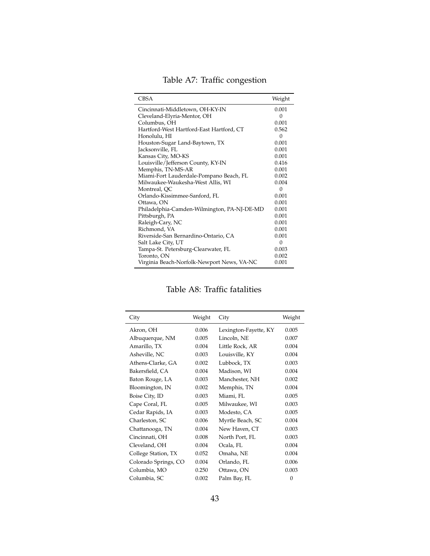Table A7: Traffic congestion

| <b>CBSA</b>                                 | Weight   |
|---------------------------------------------|----------|
| Cincinnati-Middletown, OH-KY-IN             | 0.001    |
| Cleveland-Elyria-Mentor, OH                 | $\Omega$ |
| Columbus, OH                                | 0.001    |
| Hartford-West Hartford-East Hartford, CT    | 0.562    |
| Honolulu, HI                                | $\Omega$ |
| Houston-Sugar Land-Baytown, TX              | 0.001    |
| Jacksonville, FL                            | 0.001    |
| Kansas City, MO-KS                          | 0.001    |
| Louisville/Jefferson County, KY-IN          | 0.416    |
| Memphis, TN-MS-AR                           | 0.001    |
| Miami-Fort Lauderdale-Pompano Beach, FL     | 0.002    |
| Milwaukee-Waukesha-West Allis, WI           | 0.004    |
| Montreal, QC                                | $\Omega$ |
| Orlando-Kissimmee-Sanford, FL               | 0.001    |
| Ottawa, ON                                  | 0.001    |
| Philadelphia-Camden-Wilmington, PA-NJ-DE-MD | 0.001    |
| Pittsburgh, PA                              | 0.001    |
| Raleigh-Cary, NC                            | 0.001    |
| Richmond, VA                                | 0.001    |
| Riverside-San Bernardino-Ontario, CA        | 0.001    |
| Salt Lake City, UT                          | $\Omega$ |
| Tampa-St. Petersburg-Clearwater, FL         | 0.003    |
| Toronto, ON                                 | 0.002    |
| Virginia Beach-Norfolk-Newport News, VA-NC  | 0.001    |

#### Table A8: Traffic fatalities

 $\overline{a}$ 

| City                 | Weight | City                  | Weight   |
|----------------------|--------|-----------------------|----------|
| Akron, OH            | 0.006  | Lexington-Fayette, KY | 0.005    |
| Albuquerque, NM      | 0.005  | Lincoln, NE           | 0.007    |
| Amarillo, TX         | 0.004  | Little Rock, AR       | 0.004    |
| Asheville, NC        | 0.003  | Louisville, KY        | 0.004    |
| Athens-Clarke, GA    | 0.002  | Lubbock, TX           | 0.003    |
| Bakersfield, CA      | 0.004  | Madison, WI           | 0.004    |
| Baton Rouge, LA      | 0.003  | Manchester, NH        | 0.002    |
| Bloomington, IN      | 0.002  | Memphis, TN           | 0.004    |
| Boise City, ID       | 0.003  | Miami, FL             | 0.005    |
| Cape Coral, FL       | 0.005  | Milwaukee, WI         | 0.003    |
| Cedar Rapids, IA     | 0.003  | Modesto, CA           | 0.005    |
| Charleston, SC       | 0.006  | Myrtle Beach, SC      | 0.004    |
| Chattanooga, TN      | 0.004  | New Haven, CT         | 0.003    |
| Cincinnati, OH       | 0.008  | North Port, FL        | 0.003    |
| Cleveland, OH        | 0.004  | Ocala, FL             | 0.004    |
| College Station, TX  | 0.052  | Omaha, NE             | 0.004    |
| Colorado Springs, CO | 0.004  | Orlando, FL           | 0.006    |
| Columbia, MO         | 0.250  | Ottawa, ON            | 0.003    |
| Columbia, SC         | 0.002  | Palm Bay, FL          | $\Omega$ |